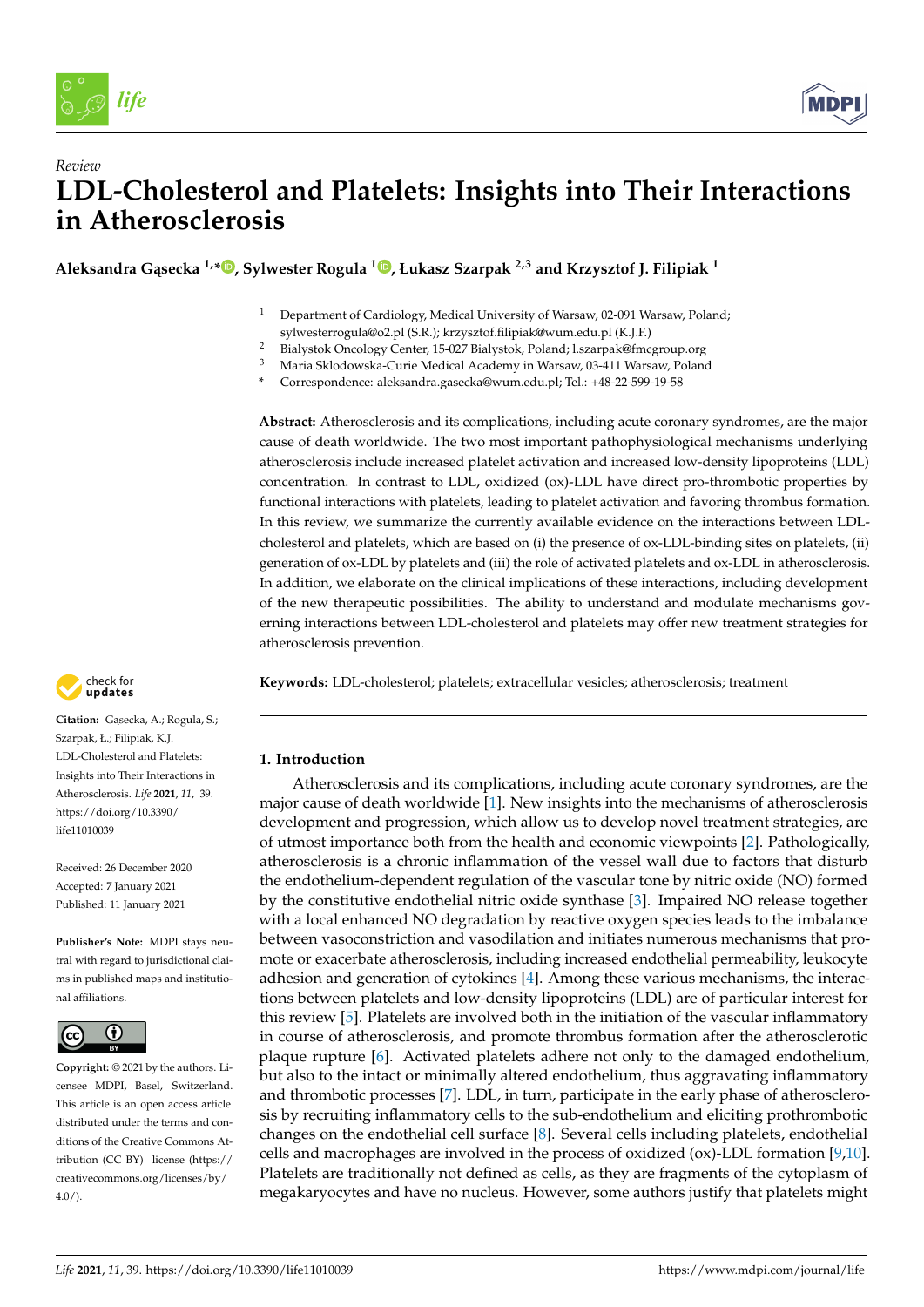



**Aleksandra G ˛asecka 1,\* [,](https://orcid.org/0000-0001-5083-7587) Sylwester Rogula <sup>1</sup> [,](https://orcid.org/0000-0002-0575-8916) Łukasz Szarpak 2,3 and Krzysztof J. Filipiak <sup>1</sup>**

Department of Cardiology, Medical University of Warsaw, 02-091 Warsaw, Poland; sylwesterrogula@o2.pl (S.R.); krzysztof.filipiak@wum.edu.pl (K.J.F.)

- <sup>2</sup> Bialystok Oncology Center, 15-027 Bialystok, Poland; l.szarpak@fmcgroup.org<sup>3</sup> Maria Składowska Cyrija Mariazija Asadowy.ip Marazy: 02.411 Warszy: Polan
- <sup>3</sup> Maria Sklodowska-Curie Medical Academy in Warsaw, 03-411 Warsaw, Poland

**\*** Correspondence: aleksandra.gasecka@wum.edu.pl; Tel.: +48-22-599-19-58

**Abstract:** Atherosclerosis and its complications, including acute coronary syndromes, are the major cause of death worldwide. The two most important pathophysiological mechanisms underlying atherosclerosis include increased platelet activation and increased low-density lipoproteins (LDL) concentration. In contrast to LDL, oxidized (ox)-LDL have direct pro-thrombotic properties by functional interactions with platelets, leading to platelet activation and favoring thrombus formation. In this review, we summarize the currently available evidence on the interactions between LDLcholesterol and platelets, which are based on (i) the presence of ox-LDL-binding sites on platelets, (ii) generation of ox-LDL by platelets and (iii) the role of activated platelets and ox-LDL in atherosclerosis. In addition, we elaborate on the clinical implications of these interactions, including development of the new therapeutic possibilities. The ability to understand and modulate mechanisms governing interactions between LDL-cholesterol and platelets may offer new treatment strategies for atherosclerosis prevention.

**Keywords:** LDL-cholesterol; platelets; extracellular vesicles; atherosclerosis; treatment

# **1. Introduction**

Atherosclerosis and its complications, including acute coronary syndromes, are the major cause of death worldwide [\[1\]](#page-9-0). New insights into the mechanisms of atherosclerosis development and progression, which allow us to develop novel treatment strategies, are of utmost importance both from the health and economic viewpoints [\[2\]](#page-9-1). Pathologically, atherosclerosis is a chronic inflammation of the vessel wall due to factors that disturb the endothelium-dependent regulation of the vascular tone by nitric oxide (NO) formed by the constitutive endothelial nitric oxide synthase [\[3\]](#page-9-2). Impaired NO release together with a local enhanced NO degradation by reactive oxygen species leads to the imbalance between vasoconstriction and vasodilation and initiates numerous mechanisms that promote or exacerbate atherosclerosis, including increased endothelial permeability, leukocyte adhesion and generation of cytokines [\[4\]](#page-9-3). Among these various mechanisms, the interactions between platelets and low-density lipoproteins (LDL) are of particular interest for this review [\[5\]](#page-9-4). Platelets are involved both in the initiation of the vascular inflammatory in course of atherosclerosis, and promote thrombus formation after the atherosclerotic plaque rupture [\[6\]](#page-9-5). Activated platelets adhere not only to the damaged endothelium, but also to the intact or minimally altered endothelium, thus aggravating inflammatory and thrombotic processes [\[7\]](#page-9-6). LDL, in turn, participate in the early phase of atherosclerosis by recruiting inflammatory cells to the sub-endothelium and eliciting prothrombotic changes on the endothelial cell surface [\[8\]](#page-9-7). Several cells including platelets, endothelial cells and macrophages are involved in the process of oxidized (ox)-LDL formation [\[9,](#page-9-8)[10\]](#page-9-9). Platelets are traditionally not defined as cells, as they are fragments of the cytoplasm of megakaryocytes and have no nucleus. However, some authors justify that platelets might



Citation: Gasecka, A.; Rogula, S.; Szarpak, Ł.; Filipiak, K.J. LDL-Cholesterol and Platelets: Insights into Their Interactions in Atherosclerosis. *Life* **2021**, *11*, 39. [https://doi.org/10.3390/](https://doi.org/10.3390/life11010039) [life11010039](https://doi.org/10.3390/life11010039)

Received: 26 December 2020 Accepted: 7 January 2021 Published: 11 January 2021

**Publisher's Note:** MDPI stays neutral with regard to jurisdictional claims in published maps and institutional affiliations.



**Copyright:** © 2021 by the authors. Licensee MDPI, Basel, Switzerland. This article is an open access article distributed under the terms and conditions of the Creative Commons Attribution (CC BY) license [\(https://](https://creativecommons.org/licenses/by/4.0/) [creativecommons.org/licenses/by/](https://creativecommons.org/licenses/by/4.0/)  $4.0/$ ).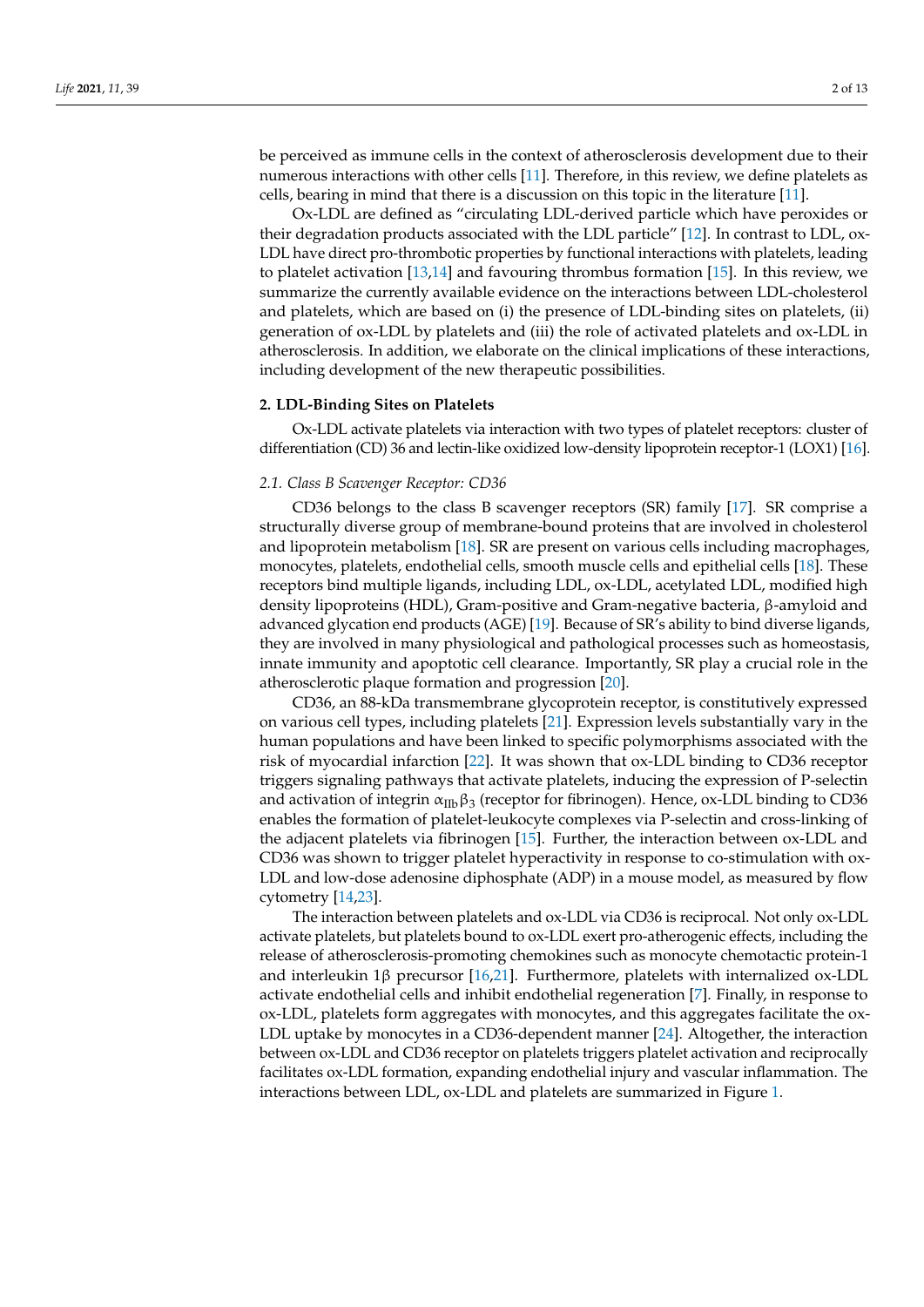be perceived as immune cells in the context of atherosclerosis development due to their numerous interactions with other cells [\[11\]](#page-9-10). Therefore, in this review, we define platelets as cells, bearing in mind that there is a discussion on this topic in the literature [\[11\]](#page-9-10).

Ox-LDL are defined as "circulating LDL-derived particle which have peroxides or their degradation products associated with the LDL particle" [\[12\]](#page-9-11). In contrast to LDL, ox-LDL have direct pro-thrombotic properties by functional interactions with platelets, leading to platelet activation [\[13](#page-9-12)[,14\]](#page-9-13) and favouring thrombus formation [\[15\]](#page-9-14). In this review, we summarize the currently available evidence on the interactions between LDL-cholesterol and platelets, which are based on (i) the presence of LDL-binding sites on platelets, (ii) generation of ox-LDL by platelets and (iii) the role of activated platelets and ox-LDL in atherosclerosis. In addition, we elaborate on the clinical implications of these interactions, including development of the new therapeutic possibilities.

#### **2. LDL-Binding Sites on Platelets**

Ox-LDL activate platelets via interaction with two types of platelet receptors: cluster of differentiation (CD) 36 and lectin-like oxidized low-density lipoprotein receptor-1 (LOX1) [\[16\]](#page-9-15).

# *2.1. Class B Scavenger Receptor: CD36*

CD36 belongs to the class B scavenger receptors (SR) family [\[17\]](#page-9-16). SR comprise a structurally diverse group of membrane-bound proteins that are involved in cholesterol and lipoprotein metabolism [\[18\]](#page-9-17). SR are present on various cells including macrophages, monocytes, platelets, endothelial cells, smooth muscle cells and epithelial cells [\[18\]](#page-9-17). These receptors bind multiple ligands, including LDL, ox-LDL, acetylated LDL, modified high density lipoproteins (HDL), Gram-positive and Gram-negative bacteria, β-amyloid and advanced glycation end products (AGE) [\[19\]](#page-9-18). Because of SR's ability to bind diverse ligands, they are involved in many physiological and pathological processes such as homeostasis, innate immunity and apoptotic cell clearance. Importantly, SR play a crucial role in the atherosclerotic plaque formation and progression [\[20\]](#page-9-19).

CD36, an 88-kDa transmembrane glycoprotein receptor, is constitutively expressed on various cell types, including platelets [\[21\]](#page-9-20). Expression levels substantially vary in the human populations and have been linked to specific polymorphisms associated with the risk of myocardial infarction [\[22\]](#page-9-21). It was shown that ox-LDL binding to CD36 receptor triggers signaling pathways that activate platelets, inducing the expression of P-selectin and activation of integrin  $\alpha_{\text{IIb}}\beta_3$  (receptor for fibrinogen). Hence, ox-LDL binding to CD36 enables the formation of platelet-leukocyte complexes via P-selectin and cross-linking of the adjacent platelets via fibrinogen [\[15\]](#page-9-14). Further, the interaction between ox-LDL and CD36 was shown to trigger platelet hyperactivity in response to co-stimulation with ox-LDL and low-dose adenosine diphosphate (ADP) in a mouse model, as measured by flow cytometry [\[14](#page-9-13)[,23\]](#page-9-22).

The interaction between platelets and ox-LDL via CD36 is reciprocal. Not only ox-LDL activate platelets, but platelets bound to ox-LDL exert pro-atherogenic effects, including the release of atherosclerosis-promoting chemokines such as monocyte chemotactic protein-1 and interleukin 1 $\beta$  precursor [\[16,](#page-9-15)[21\]](#page-9-20). Furthermore, platelets with internalized ox-LDL activate endothelial cells and inhibit endothelial regeneration [\[7\]](#page-9-6). Finally, in response to ox-LDL, platelets form aggregates with monocytes, and this aggregates facilitate the ox-LDL uptake by monocytes in a CD36-dependent manner [\[24\]](#page-10-0). Altogether, the interaction between ox-LDL and CD36 receptor on platelets triggers platelet activation and reciprocally facilitates ox-LDL formation, expanding endothelial injury and vascular inflammation. The interactions between LDL, ox-LDL and platelets are summarized in Figure [1.](#page-2-0)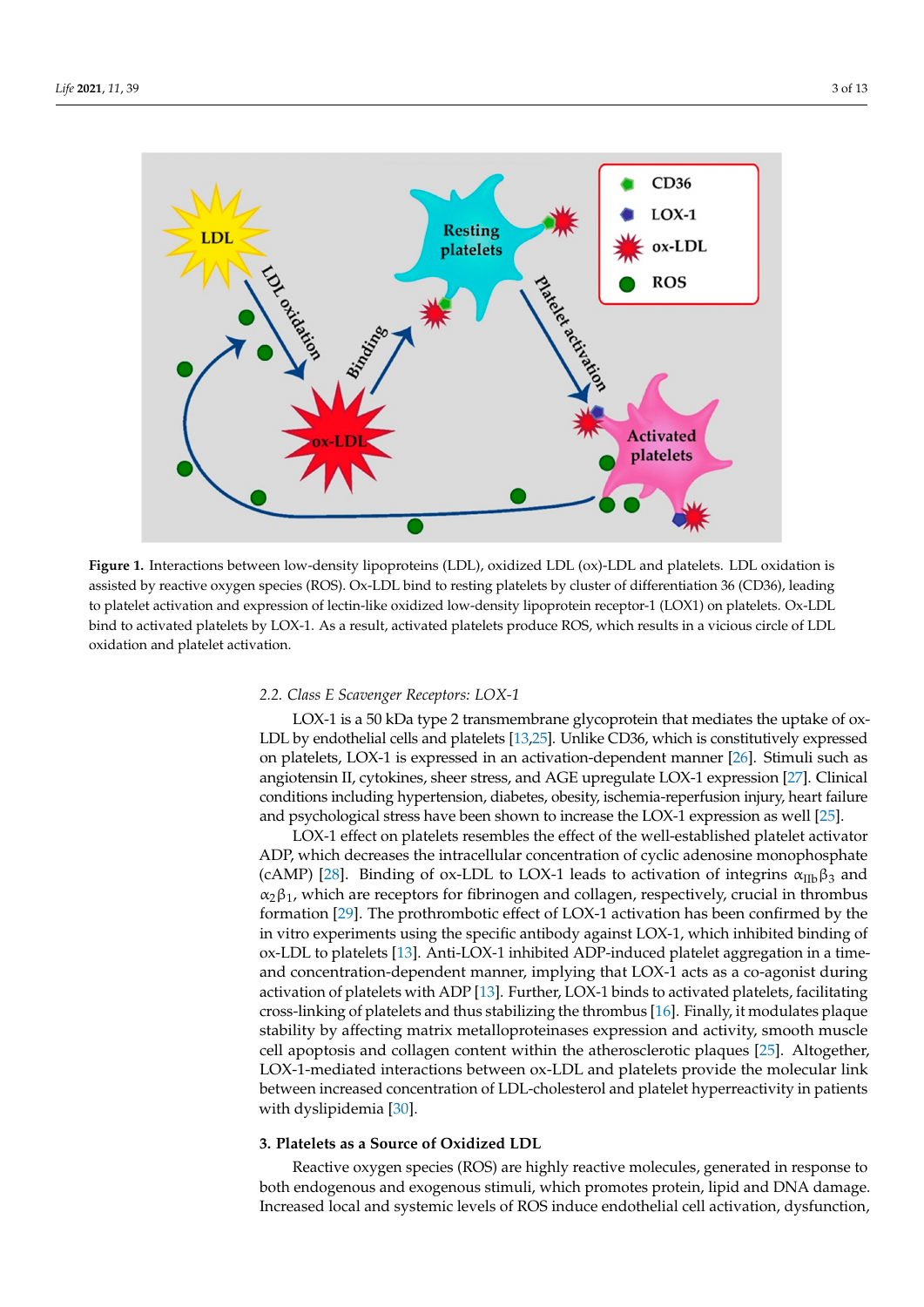<span id="page-2-0"></span>

Figure 1. Interactions between low-density lipoproteins (LDL), oxidized LDL (ox)-LDL and platelets. LDL oxidation is assisted by reactive oxygen species (ROS). Ox-LDL bind to resting platelets by cluster of differentiation 36 (CD36), leading to platelet activation and expression of lectin-like oxidized low-density lipoprotein receptor-1 (LOX1) on platelets. Ox-LDL LD bind to activate the activity of the complete platelets by LOCO-1. As a result of the construction of the c<br>Links in a vicious circle of the construction of the construction of the construction of the construction of th bind to activated platelets by LOX-1. As a result, activated platelets produce ROS, which results in a vicious circle of LDL<br>. oxidation and platelet activation.

## 2.2. Class E Scavenger Receptors: LOX-1

LOX-1 is a 50 kDa type 2 transmembrane glycoprotein that mediates the uptake of oxLDL by endothelial cells and platelets [13,25]. Unlike CD36, which is constitutively expres[sed](#page-9-12) on platelets, LOX-1 is expressed in an activation-dependent manner [\[26\]](#page-10-2). Stimuli such as angiotensin II, cytokines, sheer stress, and AGE upregulate LOX-1 expression [27]. Clinical conditions including hypertension, diabetes, obesity, ischemia-reperfusion injury, heart failure and psychological stress have been shown to increase the LOX-1 expression as well [\[25\]](#page-10-1).

LOX-1 effect on platelets resembles the effect of the well-established platelet activator LOX-1 effect on platelets resembles the effect of the well-established platelet activator ADP, which decreases the intracellular concentration of cyclic adenosine monophosphate ADP, which decreases the intracellular concentration of cyclic adenosine monophosphate (cAMP) [[28\]](#page-10-4). Binding of ox-LDL to LOX-1 leads to activation of integrins  $\alpha_{\text{IIb}}\beta_3$  and  $\alpha_2\beta_1$ , which are receptors for fibrinogen and collagen, respectively, crucial in thrombus formation  $[29]$ . The prothrombotic effect of LOX-1 activation has been confirmed by the formation [29]. The prothrombotic effect of LOX-1 activation has been confirmed by the in vitro experiments using the specific antibody against LOX-1, which inhibited binding of ox-LDL to platelets [\[13](#page-9-12)]. Anti-LOX-1 inhibited ADP-induced platelet aggregation in a timeand concentration-dependent manner, implying that LOX-1 acts as a co-agonist during activation of platelets with ADP [\[13\]](#page-9-12). Further, LOX-1 binds to activated platelets, facilitating cross-linking of platelets and thus stabilizing the thrombus [\[16\]](#page-9-15). Finally, it modulates plaque stability by affecting matrix metalloproteinases expression and activity, smooth muscle cell apoptosis and collagen content within the atherosclerotic plaques [\[25\]](#page-10-1). Altogether, LOX-1-mediated interactions between ox-LDL and platelets provide the molecular link between increased concentration of LDL-cholesterol and platelet hyperreactivity in patients with dyslipidemia [\[30\]](#page-10-6).

# **3. Platelets as a Source of Oxidized LDL 3. Platelets as a Source of Oxidized LDL**

Reactive oxygen species (ROS) are highly reactive molecules, generated in response Reactive oxygen species (ROS) are highly reactive molecules, generated in response to both endogenous and exogenous stimuli, which promotes protein, lipid and DNA damage.<br>Le grece al level and exotencial male of DOS in dame and the liabell estimatives, decfanatives Increased local and systemic levels of ROS induce endothelial cell activation, dysfunction,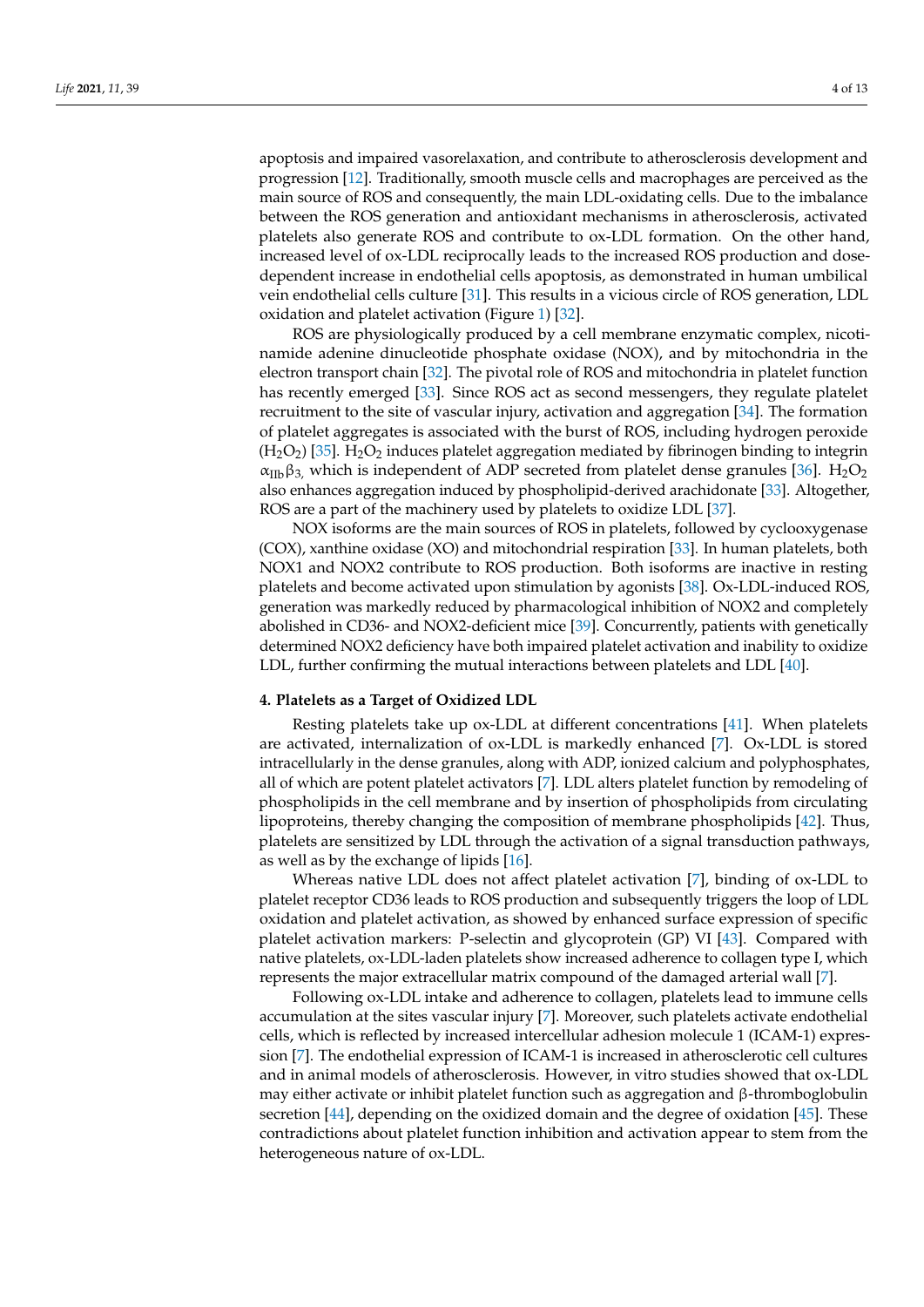apoptosis and impaired vasorelaxation, and contribute to atherosclerosis development and progression [\[12\]](#page-9-11). Traditionally, smooth muscle cells and macrophages are perceived as the main source of ROS and consequently, the main LDL-oxidating cells. Due to the imbalance between the ROS generation and antioxidant mechanisms in atherosclerosis, activated platelets also generate ROS and contribute to ox-LDL formation. On the other hand, increased level of ox-LDL reciprocally leads to the increased ROS production and dosedependent increase in endothelial cells apoptosis, as demonstrated in human umbilical vein endothelial cells culture [\[31\]](#page-10-7). This results in a vicious circle of ROS generation, LDL oxidation and platelet activation (Figure [1\)](#page-2-0) [\[32\]](#page-10-8).

ROS are physiologically produced by a cell membrane enzymatic complex, nicotinamide adenine dinucleotide phosphate oxidase (NOX), and by mitochondria in the electron transport chain [\[32\]](#page-10-8). The pivotal role of ROS and mitochondria in platelet function has recently emerged [\[33\]](#page-10-9). Since ROS act as second messengers, they regulate platelet recruitment to the site of vascular injury, activation and aggregation [\[34\]](#page-10-10). The formation of platelet aggregates is associated with the burst of ROS, including hydrogen peroxide  $(H<sub>2</sub>O<sub>2</sub>)$  [\[35\]](#page-10-11). H<sub>2</sub>O<sub>2</sub> induces platelet aggregation mediated by fibrinogen binding to integrin  $\alpha_{\text{IIb}}\beta_3$ , which is independent of ADP secreted from platelet dense granules [\[36\]](#page-10-12). H<sub>2</sub>O<sub>2</sub> also enhances aggregation induced by phospholipid-derived arachidonate [\[33\]](#page-10-9). Altogether, ROS are a part of the machinery used by platelets to oxidize LDL [\[37\]](#page-10-13).

NOX isoforms are the main sources of ROS in platelets, followed by cyclooxygenase (COX), xanthine oxidase (XO) and mitochondrial respiration [\[33\]](#page-10-9). In human platelets, both NOX1 and NOX2 contribute to ROS production. Both isoforms are inactive in resting platelets and become activated upon stimulation by agonists [\[38\]](#page-10-14). Ox-LDL-induced ROS, generation was markedly reduced by pharmacological inhibition of NOX2 and completely abolished in CD36- and NOX2-deficient mice [\[39\]](#page-10-15). Concurrently, patients with genetically determined NOX2 deficiency have both impaired platelet activation and inability to oxidize LDL, further confirming the mutual interactions between platelets and LDL [\[40\]](#page-10-16).

#### **4. Platelets as a Target of Oxidized LDL**

Resting platelets take up ox-LDL at different concentrations [\[41\]](#page-10-17). When platelets are activated, internalization of ox-LDL is markedly enhanced [\[7\]](#page-9-6). Ox-LDL is stored intracellularly in the dense granules, along with ADP, ionized calcium and polyphosphates, all of which are potent platelet activators [\[7\]](#page-9-6). LDL alters platelet function by remodeling of phospholipids in the cell membrane and by insertion of phospholipids from circulating lipoproteins, thereby changing the composition of membrane phospholipids [\[42\]](#page-10-18). Thus, platelets are sensitized by LDL through the activation of a signal transduction pathways, as well as by the exchange of lipids [\[16\]](#page-9-15).

Whereas native LDL does not affect platelet activation [\[7\]](#page-9-6), binding of ox-LDL to platelet receptor CD36 leads to ROS production and subsequently triggers the loop of LDL oxidation and platelet activation, as showed by enhanced surface expression of specific platelet activation markers: P-selectin and glycoprotein (GP) VI [\[43\]](#page-10-19). Compared with native platelets, ox-LDL-laden platelets show increased adherence to collagen type I, which represents the major extracellular matrix compound of the damaged arterial wall [\[7\]](#page-9-6).

Following ox-LDL intake and adherence to collagen, platelets lead to immune cells accumulation at the sites vascular injury [\[7\]](#page-9-6). Moreover, such platelets activate endothelial cells, which is reflected by increased intercellular adhesion molecule 1 (ICAM-1) expression [\[7\]](#page-9-6). The endothelial expression of ICAM-1 is increased in atherosclerotic cell cultures and in animal models of atherosclerosis. However, in vitro studies showed that ox-LDL may either activate or inhibit platelet function such as aggregation and β-thromboglobulin secretion [\[44\]](#page-10-20), depending on the oxidized domain and the degree of oxidation [\[45\]](#page-10-21). These contradictions about platelet function inhibition and activation appear to stem from the heterogeneous nature of ox-LDL.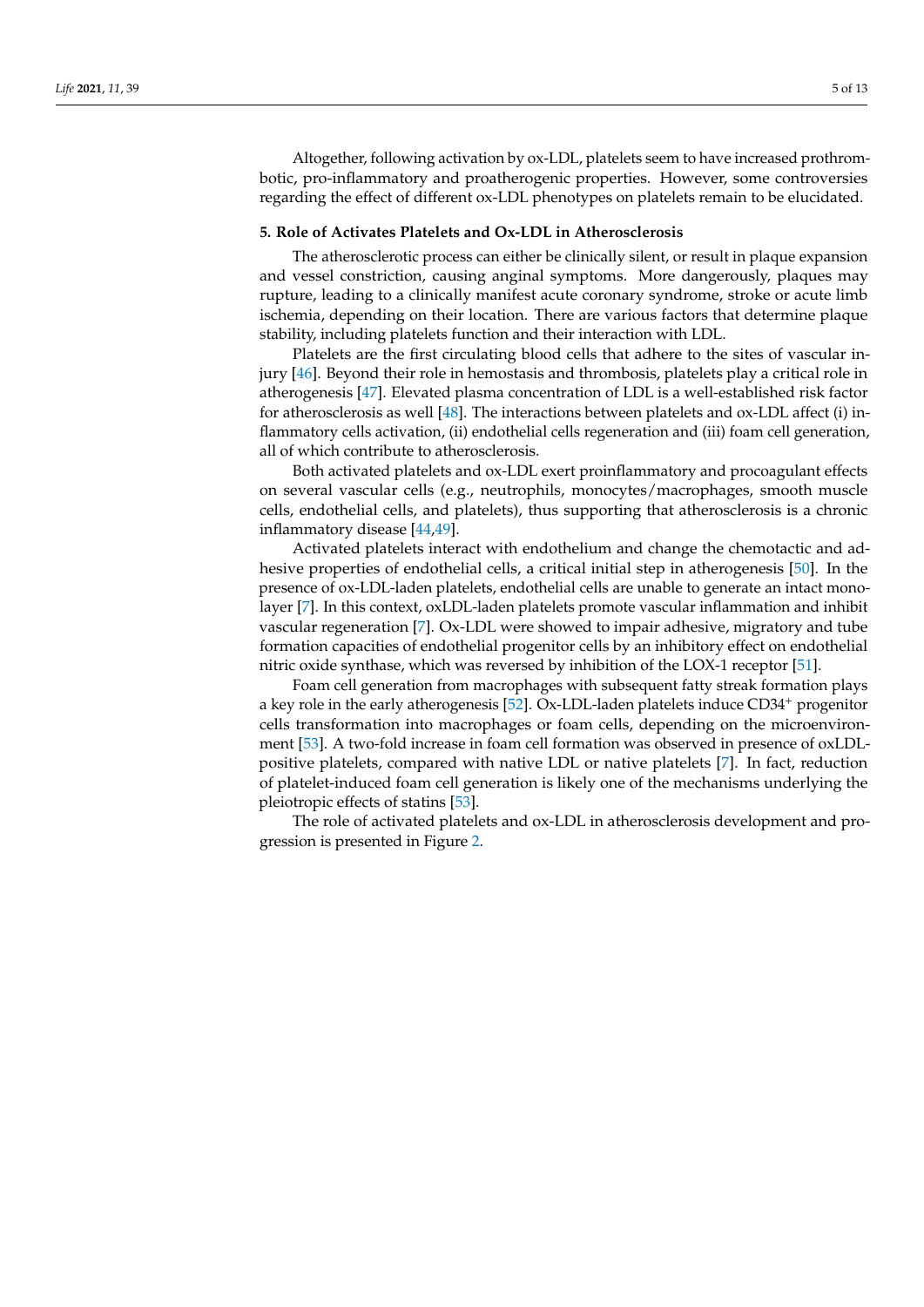Altogether, following activation by ox-LDL, platelets seem to have increased prothrombotic, pro-inflammatory and proatherogenic properties. However, some controversies regarding the effect of different ox-LDL phenotypes on platelets remain to be elucidated.

## **5. Role of Activates Platelets and Ox-LDL in Atherosclerosis**

The atherosclerotic process can either be clinically silent, or result in plaque expansion and vessel constriction, causing anginal symptoms. More dangerously, plaques may rupture, leading to a clinically manifest acute coronary syndrome, stroke or acute limb ischemia, depending on their location. There are various factors that determine plaque stability, including platelets function and their interaction with LDL.

Platelets are the first circulating blood cells that adhere to the sites of vascular injury [\[46\]](#page-10-22). Beyond their role in hemostasis and thrombosis, platelets play a critical role in atherogenesis [\[47\]](#page-10-23). Elevated plasma concentration of LDL is a well-established risk factor for atherosclerosis as well [\[48\]](#page-10-24). The interactions between platelets and ox-LDL affect (i) inflammatory cells activation, (ii) endothelial cells regeneration and (iii) foam cell generation, all of which contribute to atherosclerosis.

Both activated platelets and ox-LDL exert proinflammatory and procoagulant effects on several vascular cells (e.g., neutrophils, monocytes/macrophages, smooth muscle cells, endothelial cells, and platelets), thus supporting that atherosclerosis is a chronic inflammatory disease [\[44](#page-10-20)[,49\]](#page-10-25).

Activated platelets interact with endothelium and change the chemotactic and adhesive properties of endothelial cells, a critical initial step in atherogenesis [\[50\]](#page-10-26). In the presence of ox-LDL-laden platelets, endothelial cells are unable to generate an intact monolayer [\[7\]](#page-9-6). In this context, oxLDL-laden platelets promote vascular inflammation and inhibit vascular regeneration [\[7\]](#page-9-6). Ox-LDL were showed to impair adhesive, migratory and tube formation capacities of endothelial progenitor cells by an inhibitory effect on endothelial nitric oxide synthase, which was reversed by inhibition of the LOX-1 receptor [\[51\]](#page-11-0).

Foam cell generation from macrophages with subsequent fatty streak formation plays a key role in the early atherogenesis [\[52\]](#page-11-1). Ox-LDL-laden platelets induce CD34<sup>+</sup> progenitor cells transformation into macrophages or foam cells, depending on the microenvironment [\[53\]](#page-11-2). A two-fold increase in foam cell formation was observed in presence of oxLDLpositive platelets, compared with native LDL or native platelets [\[7\]](#page-9-6). In fact, reduction of platelet-induced foam cell generation is likely one of the mechanisms underlying the pleiotropic effects of statins [\[53\]](#page-11-2).

The role of activated platelets and ox-LDL in atherosclerosis development and progression is presented in Figure [2.](#page-5-0)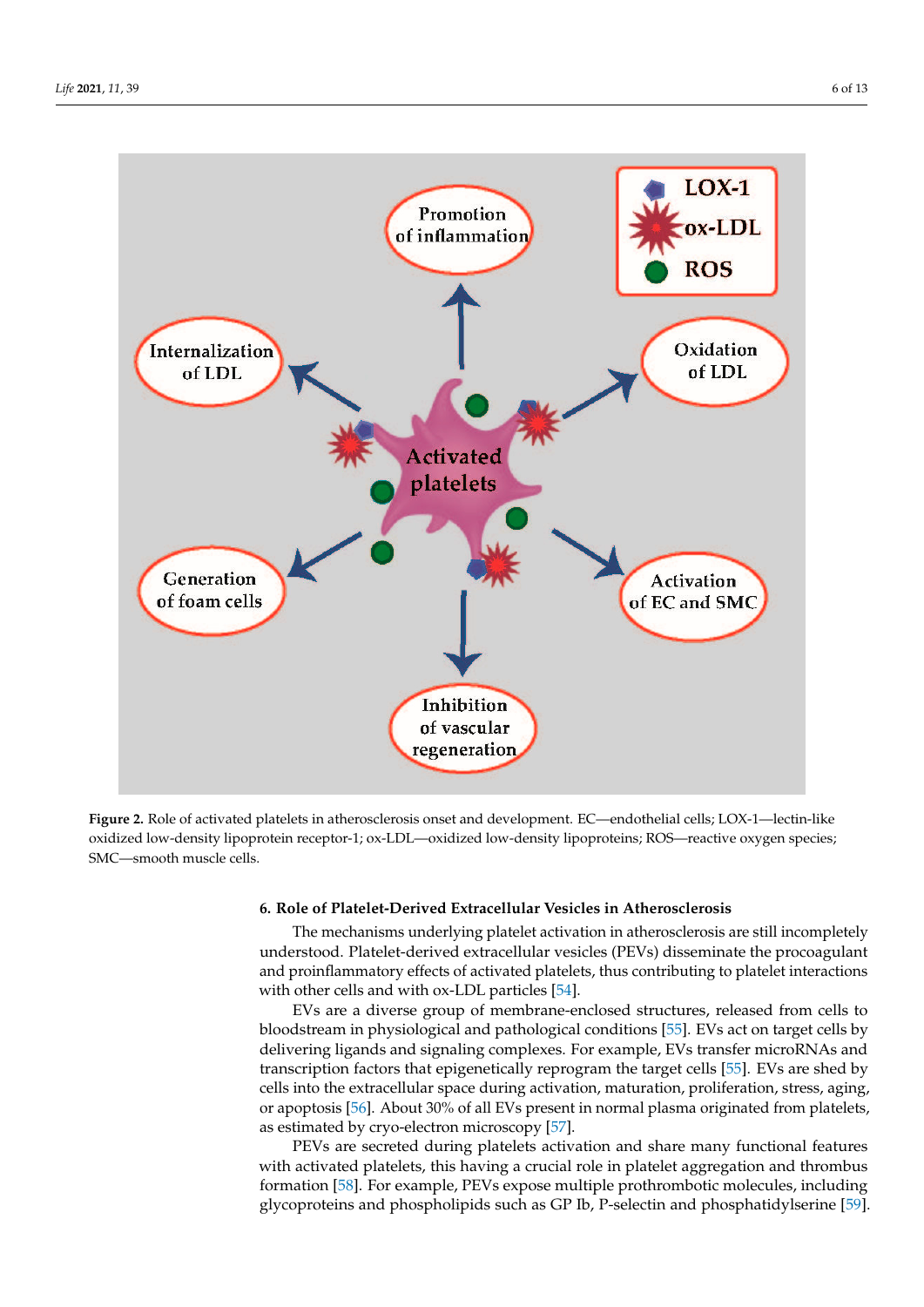<span id="page-5-0"></span>

Figure 2. Role of activated platelets in atherosclerosis onset and development. EC—endothelial cells; LOX-1—lectin-like oxidized low-density lipoprotein receptor-1; ox-LDL—oxidized low-density lipoproteins; ROS—reactive oxygen species; SMC—smooth muscle cells. SMC—smooth muscle cells.

# The mechanisms underlying platelet activation in atherosclerosis are still incom-**6. Role of Platelet-Derived Extracellular Vesicles in Atherosclerosis**

The mechanisms underlying platelet activation in atherosclerosis are still incompletely understood. Platelet-derived extracellular vesicles (PEVs) disseminate the procoagulant and proinflammatory effects of activated platelets, thus contributing to platelet interactions with other cells and with ox-LDL particles [54].

EVs are a diverse group of membrane-enclosed structures, released from cells to bloodstream in physiological and pathological conditions [55]. EVs act on target cells by bloodstream in physiological and pathological conditions [\[55\]](#page-11-4). EVs act on target cells by<br>delivering ligands and signaling complexes. For example, EVs transfer microRNAs and transcription factors that epigenetically reprogram the target cells [\[55\]](#page-11-4). EVs are shed by cells into the extracellular space during activation, maturation, proliferation, stress, aging, or apoptosis [\[56\]](#page-11-5). About 30% of all EVs present in normal plasma originated from platelets, as estimated by cryo-electron microscopy [\[57\]](#page-11-6).

PEVs are secreted during platelets activation and share many functional features with activated platelets, this having a crucial role in platelet aggregation and thrombus formation [\[58\]](#page-11-7). For example, PEVs expose multiple prothrombotic molecules, including glycoproteins and phospholipids such as GP Ib, P-selectin and phosphatidylserine [\[59\]](#page-11-8).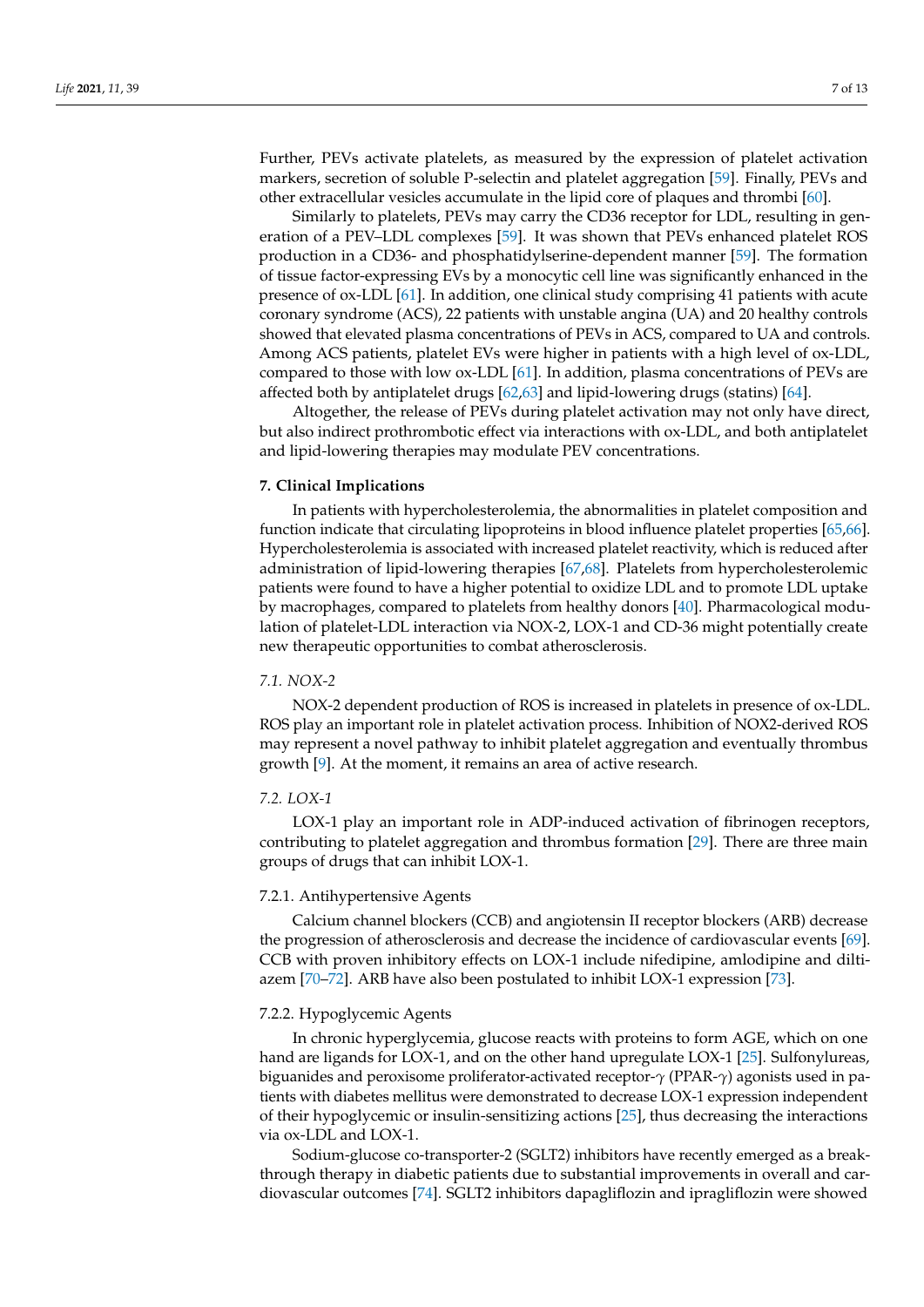Further, PEVs activate platelets, as measured by the expression of platelet activation markers, secretion of soluble P-selectin and platelet aggregation [\[59\]](#page-11-8). Finally, PEVs and other extracellular vesicles accumulate in the lipid core of plaques and thrombi [\[60\]](#page-11-9).

Similarly to platelets, PEVs may carry the CD36 receptor for LDL, resulting in generation of a PEV–LDL complexes [\[59\]](#page-11-8). It was shown that PEVs enhanced platelet ROS production in a CD36- and phosphatidylserine-dependent manner [\[59\]](#page-11-8). The formation of tissue factor-expressing EVs by a monocytic cell line was significantly enhanced in the presence of ox-LDL [\[61\]](#page-11-10). In addition, one clinical study comprising 41 patients with acute coronary syndrome (ACS), 22 patients with unstable angina (UA) and 20 healthy controls showed that elevated plasma concentrations of PEVs in ACS, compared to UA and controls. Among ACS patients, platelet EVs were higher in patients with a high level of ox-LDL, compared to those with low ox-LDL [\[61\]](#page-11-10). In addition, plasma concentrations of PEVs are affected both by antiplatelet drugs [\[62,](#page-11-11)[63\]](#page-11-12) and lipid-lowering drugs (statins) [\[64\]](#page-11-13).

Altogether, the release of PEVs during platelet activation may not only have direct, but also indirect prothrombotic effect via interactions with ox-LDL, and both antiplatelet and lipid-lowering therapies may modulate PEV concentrations.

#### **7. Clinical Implications**

In patients with hypercholesterolemia, the abnormalities in platelet composition and function indicate that circulating lipoproteins in blood influence platelet properties [\[65](#page-11-14)[,66\]](#page-11-15). Hypercholesterolemia is associated with increased platelet reactivity, which is reduced after administration of lipid-lowering therapies [\[67](#page-11-16)[,68\]](#page-11-17). Platelets from hypercholesterolemic patients were found to have a higher potential to oxidize LDL and to promote LDL uptake by macrophages, compared to platelets from healthy donors [\[40\]](#page-10-16). Pharmacological modulation of platelet-LDL interaction via NOX-2, LOX-1 and CD-36 might potentially create new therapeutic opportunities to combat atherosclerosis.

## *7.1. NOX-2*

NOX-2 dependent production of ROS is increased in platelets in presence of ox-LDL. ROS play an important role in platelet activation process. Inhibition of NOX2-derived ROS may represent a novel pathway to inhibit platelet aggregation and eventually thrombus growth [\[9\]](#page-9-8). At the moment, it remains an area of active research.

#### *7.2. LOX-1*

LOX-1 play an important role in ADP-induced activation of fibrinogen receptors, contributing to platelet aggregation and thrombus formation [\[29\]](#page-10-5). There are three main groups of drugs that can inhibit LOX-1.

## 7.2.1. Antihypertensive Agents

Calcium channel blockers (CCB) and angiotensin II receptor blockers (ARB) decrease the progression of atherosclerosis and decrease the incidence of cardiovascular events [\[69\]](#page-11-18). CCB with proven inhibitory effects on LOX-1 include nifedipine, amlodipine and diltiazem [\[70–](#page-11-19)[72\]](#page-11-20). ARB have also been postulated to inhibit LOX-1 expression [\[73\]](#page-11-21).

#### 7.2.2. Hypoglycemic Agents

In chronic hyperglycemia, glucose reacts with proteins to form AGE, which on one hand are ligands for LOX-1, and on the other hand upregulate LOX-1 [\[25\]](#page-10-1). Sulfonylureas, biguanides and peroxisome proliferator-activated receptor-*γ* (PPAR-*γ*) agonists used in patients with diabetes mellitus were demonstrated to decrease LOX-1 expression independent of their hypoglycemic or insulin-sensitizing actions [\[25\]](#page-10-1), thus decreasing the interactions via ox-LDL and LOX-1.

Sodium-glucose co-transporter-2 (SGLT2) inhibitors have recently emerged as a breakthrough therapy in diabetic patients due to substantial improvements in overall and cardiovascular outcomes [\[74\]](#page-11-22). SGLT2 inhibitors dapagliflozin and ipragliflozin were showed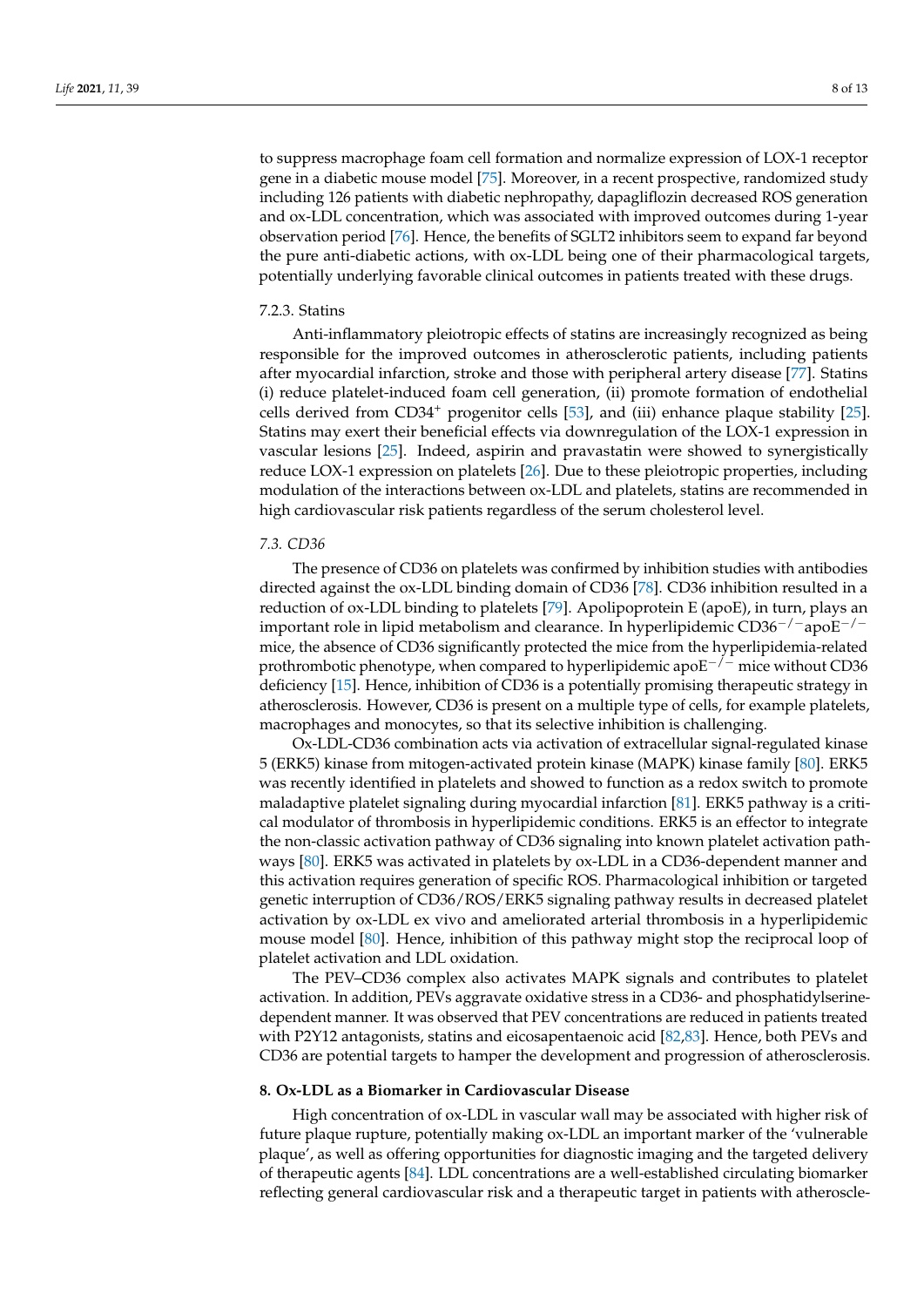to suppress macrophage foam cell formation and normalize expression of LOX-1 receptor gene in a diabetic mouse model [\[75\]](#page-11-23). Moreover, in a recent prospective, randomized study including 126 patients with diabetic nephropathy, dapagliflozin decreased ROS generation and ox-LDL concentration, which was associated with improved outcomes during 1-year observation period [\[76\]](#page-11-24). Hence, the benefits of SGLT2 inhibitors seem to expand far beyond the pure anti-diabetic actions, with ox-LDL being one of their pharmacological targets, potentially underlying favorable clinical outcomes in patients treated with these drugs.

#### 7.2.3. Statins

Anti-inflammatory pleiotropic effects of statins are increasingly recognized as being responsible for the improved outcomes in atherosclerotic patients, including patients after myocardial infarction, stroke and those with peripheral artery disease [\[77\]](#page-11-25). Statins (i) reduce platelet-induced foam cell generation, (ii) promote formation of endothelial cells derived from  $CD34^+$  progenitor cells [\[53\]](#page-11-2), and (iii) enhance plaque stability [\[25\]](#page-10-1). Statins may exert their beneficial effects via downregulation of the LOX-1 expression in vascular lesions [\[25\]](#page-10-1). Indeed, aspirin and pravastatin were showed to synergistically reduce LOX-1 expression on platelets [\[26\]](#page-10-2). Due to these pleiotropic properties, including modulation of the interactions between ox-LDL and platelets, statins are recommended in high cardiovascular risk patients regardless of the serum cholesterol level.

#### *7.3. CD36*

The presence of CD36 on platelets was confirmed by inhibition studies with antibodies directed against the ox-LDL binding domain of CD36 [\[78\]](#page-12-0). CD36 inhibition resulted in a reduction of ox-LDL binding to platelets [\[79\]](#page-12-1). Apolipoprotein E (apoE), in turn, plays an important role in lipid metabolism and clearance. In hyperlipidemic CD36−/−apoE−/<sup>−</sup> mice, the absence of CD36 significantly protected the mice from the hyperlipidemia-related prothrombotic phenotype, when compared to hyperlipidemic apoE<sup>-/-</sup> mice without CD36 deficiency [\[15\]](#page-9-14). Hence, inhibition of CD36 is a potentially promising therapeutic strategy in atherosclerosis. However, CD36 is present on a multiple type of cells, for example platelets, macrophages and monocytes, so that its selective inhibition is challenging.

Ox-LDL-CD36 combination acts via activation of extracellular signal-regulated kinase 5 (ERK5) kinase from mitogen-activated protein kinase (MAPK) kinase family [\[80\]](#page-12-2). ERK5 was recently identified in platelets and showed to function as a redox switch to promote maladaptive platelet signaling during myocardial infarction [\[81\]](#page-12-3). ERK5 pathway is a critical modulator of thrombosis in hyperlipidemic conditions. ERK5 is an effector to integrate the non-classic activation pathway of CD36 signaling into known platelet activation pathways [\[80\]](#page-12-2). ERK5 was activated in platelets by ox-LDL in a CD36-dependent manner and this activation requires generation of specific ROS. Pharmacological inhibition or targeted genetic interruption of CD36/ROS/ERK5 signaling pathway results in decreased platelet activation by ox-LDL ex vivo and ameliorated arterial thrombosis in a hyperlipidemic mouse model [\[80\]](#page-12-2). Hence, inhibition of this pathway might stop the reciprocal loop of platelet activation and LDL oxidation.

The PEV–CD36 complex also activates MAPK signals and contributes to platelet activation. In addition, PEVs aggravate oxidative stress in a CD36- and phosphatidylserinedependent manner. It was observed that PEV concentrations are reduced in patients treated with P2Y12 antagonists, statins and eicosapentaenoic acid [\[82](#page-12-4)[,83\]](#page-12-5). Hence, both PEVs and CD36 are potential targets to hamper the development and progression of atherosclerosis.

#### **8. Ox-LDL as a Biomarker in Cardiovascular Disease**

High concentration of ox-LDL in vascular wall may be associated with higher risk of future plaque rupture, potentially making ox-LDL an important marker of the 'vulnerable plaque', as well as offering opportunities for diagnostic imaging and the targeted delivery of therapeutic agents [\[84\]](#page-12-6). LDL concentrations are a well-established circulating biomarker reflecting general cardiovascular risk and a therapeutic target in patients with atheroscle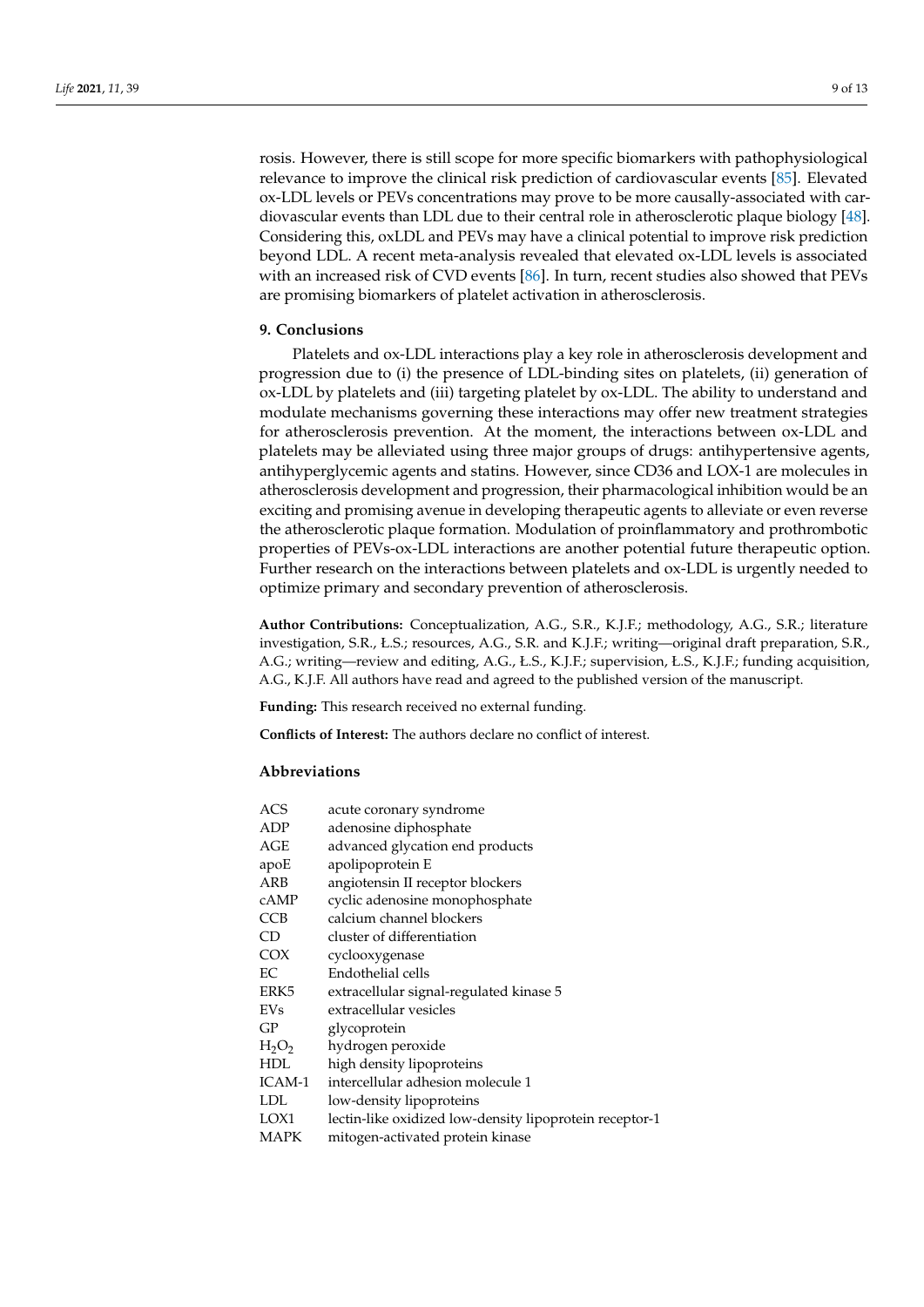rosis. However, there is still scope for more specific biomarkers with pathophysiological relevance to improve the clinical risk prediction of cardiovascular events [\[85\]](#page-12-7). Elevated ox-LDL levels or PEVs concentrations may prove to be more causally-associated with cardiovascular events than LDL due to their central role in atherosclerotic plaque biology [\[48\]](#page-10-24). Considering this, oxLDL and PEVs may have a clinical potential to improve risk prediction beyond LDL. A recent meta-analysis revealed that elevated ox-LDL levels is associated with an increased risk of CVD events [\[86\]](#page-12-8). In turn, recent studies also showed that PEVs

#### **9. Conclusions**

Platelets and ox-LDL interactions play a key role in atherosclerosis development and progression due to (i) the presence of LDL-binding sites on platelets, (ii) generation of ox-LDL by platelets and (iii) targeting platelet by ox-LDL. The ability to understand and modulate mechanisms governing these interactions may offer new treatment strategies for atherosclerosis prevention. At the moment, the interactions between ox-LDL and platelets may be alleviated using three major groups of drugs: antihypertensive agents, antihyperglycemic agents and statins. However, since CD36 and LOX-1 are molecules in atherosclerosis development and progression, their pharmacological inhibition would be an exciting and promising avenue in developing therapeutic agents to alleviate or even reverse the atherosclerotic plaque formation. Modulation of proinflammatory and prothrombotic properties of PEVs-ox-LDL interactions are another potential future therapeutic option. Further research on the interactions between platelets and ox-LDL is urgently needed to optimize primary and secondary prevention of atherosclerosis.

**Author Contributions:** Conceptualization, A.G., S.R., K.J.F.; methodology, A.G., S.R.; literature investigation, S.R., Ł.S.; resources, A.G., S.R. and K.J.F.; writing—original draft preparation, S.R., A.G.; writing—review and editing, A.G., Ł.S., K.J.F.; supervision, Ł.S., K.J.F.; funding acquisition, A.G., K.J.F. All authors have read and agreed to the published version of the manuscript.

**Funding:** This research received no external funding.

**Conflicts of Interest:** The authors declare no conflict of interest.

are promising biomarkers of platelet activation in atherosclerosis.

# **Abbreviations**

| ACS        | acute coronary syndrome                                 |
|------------|---------------------------------------------------------|
| ADP        | adenosine diphosphate                                   |
| AGE        | advanced glycation end products                         |
| apoE       | apolipoprotein E                                        |
| ARB        | angiotensin II receptor blockers                        |
| cAMP       | cyclic adenosine monophosphate                          |
| <b>CCB</b> | calcium channel blockers                                |
| CD         | cluster of differentiation                              |
| COX        | cyclooxygenase                                          |
| EC.        | Endothelial cells                                       |
| ERK5       | extracellular signal-regulated kinase 5                 |
| EVs        | extracellular vesicles                                  |
| GP         | glycoprotein                                            |
| $H_2O_2$   | hydrogen peroxide                                       |
| HDL        | high density lipoproteins                               |
| ICAM-1     | intercellular adhesion molecule 1                       |
| LDL        | low-density lipoproteins                                |
| LOX1       | lectin-like oxidized low-density lipoprotein receptor-1 |
| MAPK       | mitogen-activated protein kinase                        |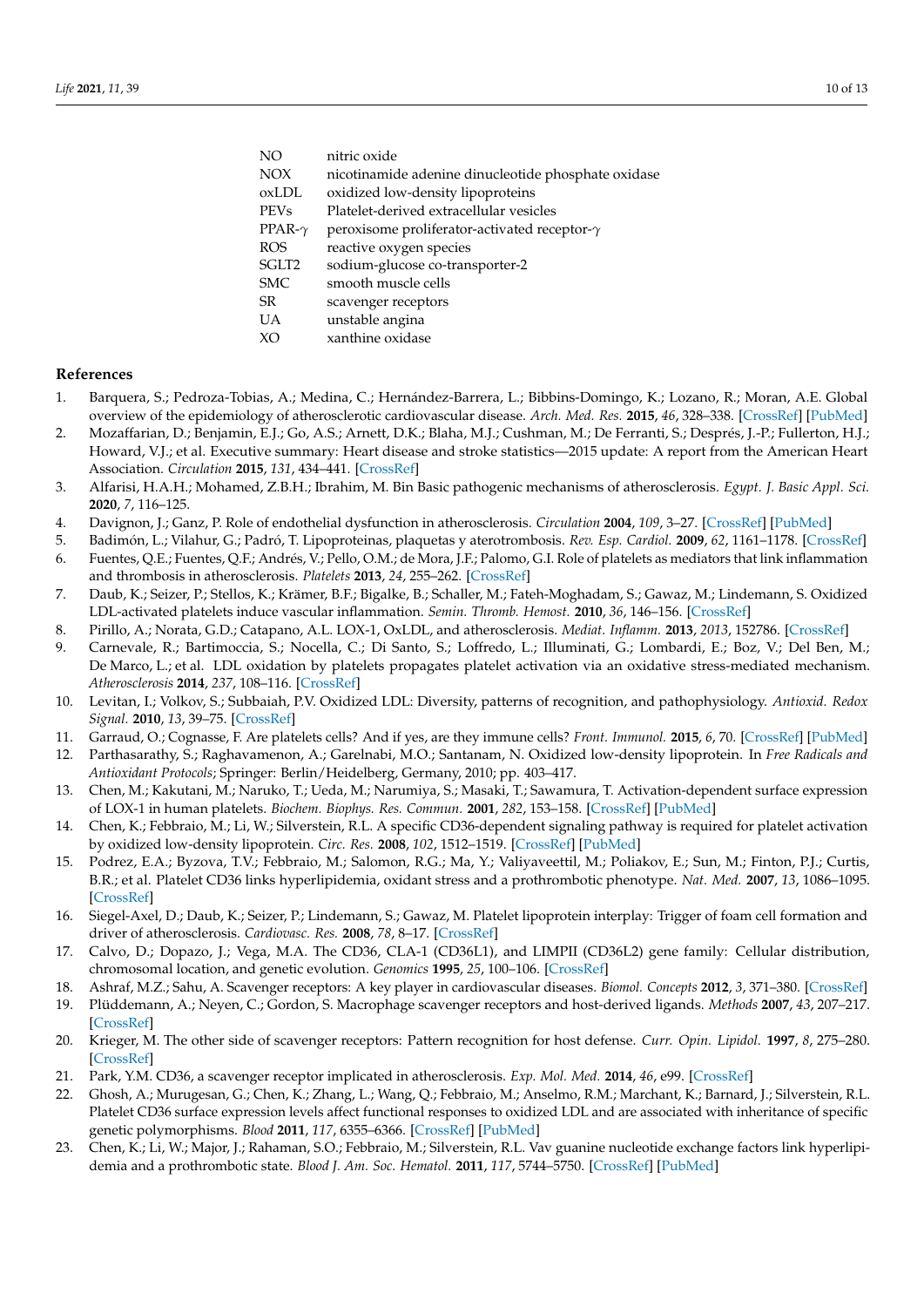| NO             | nitric oxide                                         |
|----------------|------------------------------------------------------|
| NOX            | nicotinamide adenine dinucleotide phosphate oxidase  |
| oxLDL          | oxidized low-density lipoproteins                    |
| PEVs           | Platelet-derived extracellular vesicles              |
| PPAR- $\gamma$ | peroxisome proliferator-activated receptor- $\gamma$ |
| ROS            | reactive oxygen species                              |
| SGLT2          | sodium-glucose co-transporter-2                      |
| SMC            | smooth muscle cells                                  |
| SR             | scavenger receptors                                  |
| UA             | unstable angina                                      |
| XO             | xanthine oxidase                                     |
|                |                                                      |

#### **References**

- <span id="page-9-0"></span>1. Barquera, S.; Pedroza-Tobias, A.; Medina, C.; Hernández-Barrera, L.; Bibbins-Domingo, K.; Lozano, R.; Moran, A.E. Global overview of the epidemiology of atherosclerotic cardiovascular disease. *Arch. Med. Res.* **2015**, *46*, 328–338. [\[CrossRef\]](http://doi.org/10.1016/j.arcmed.2015.06.006) [\[PubMed\]](http://www.ncbi.nlm.nih.gov/pubmed/26135634)
- <span id="page-9-1"></span>2. Mozaffarian, D.; Benjamin, E.J.; Go, A.S.; Arnett, D.K.; Blaha, M.J.; Cushman, M.; De Ferranti, S.; Després, J.-P.; Fullerton, H.J.; Howard, V.J.; et al. Executive summary: Heart disease and stroke statistics—2015 update: A report from the American Heart Association. *Circulation* **2015**, *131*, 434–441. [\[CrossRef\]](http://doi.org/10.1161/CIR.0000000000000157)
- <span id="page-9-2"></span>3. Alfarisi, H.A.H.; Mohamed, Z.B.H.; Ibrahim, M. Bin Basic pathogenic mechanisms of atherosclerosis. *Egypt. J. Basic Appl. Sci.* **2020**, *7*, 116–125.
- <span id="page-9-3"></span>4. Davignon, J.; Ganz, P. Role of endothelial dysfunction in atherosclerosis. *Circulation* **2004**, *109*, 3–27. [\[CrossRef\]](http://doi.org/10.1161/01.CIR.0000131515.03336.f8) [\[PubMed\]](http://www.ncbi.nlm.nih.gov/pubmed/15198963)
- <span id="page-9-4"></span>5. Badimón, L.; Vilahur, G.; Padró, T. Lipoproteinas, plaquetas y aterotrombosis. *Rev. Esp. Cardiol.* **2009**, *62*, 1161–1178. [\[CrossRef\]](http://doi.org/10.1016/S0300-8932(09)72385-1)
- <span id="page-9-5"></span>6. Fuentes, Q.E.; Fuentes, Q.F.; Andrés, V.; Pello, O.M.; de Mora, J.F.; Palomo, G.I. Role of platelets as mediators that link inflammation and thrombosis in atherosclerosis. *Platelets* **2013**, *24*, 255–262. [\[CrossRef\]](http://doi.org/10.3109/09537104.2012.690113)
- <span id="page-9-6"></span>7. Daub, K.; Seizer, P.; Stellos, K.; Krämer, B.F.; Bigalke, B.; Schaller, M.; Fateh-Moghadam, S.; Gawaz, M.; Lindemann, S. Oxidized LDL-activated platelets induce vascular inflammation. *Semin. Thromb. Hemost.* **2010**, *36*, 146–156. [\[CrossRef\]](http://doi.org/10.1055/s-0030-1251498)
- <span id="page-9-7"></span>8. Pirillo, A.; Norata, G.D.; Catapano, A.L. LOX-1, OxLDL, and atherosclerosis. *Mediat. Inflamm.* **2013**, *2013*, 152786. [\[CrossRef\]](http://doi.org/10.1155/2013/152786)
- <span id="page-9-8"></span>9. Carnevale, R.; Bartimoccia, S.; Nocella, C.; Di Santo, S.; Loffredo, L.; Illuminati, G.; Lombardi, E.; Boz, V.; Del Ben, M.; De Marco, L.; et al. LDL oxidation by platelets propagates platelet activation via an oxidative stress-mediated mechanism. *Atherosclerosis* **2014**, *237*, 108–116. [\[CrossRef\]](http://doi.org/10.1016/j.atherosclerosis.2014.08.041)
- <span id="page-9-9"></span>10. Levitan, I.; Volkov, S.; Subbaiah, P.V. Oxidized LDL: Diversity, patterns of recognition, and pathophysiology. *Antioxid. Redox Signal.* **2010**, *13*, 39–75. [\[CrossRef\]](http://doi.org/10.1089/ars.2009.2733)
- <span id="page-9-10"></span>11. Garraud, O.; Cognasse, F. Are platelets cells? And if yes, are they immune cells? *Front. Immunol.* **2015**, *6*, 70. [\[CrossRef\]](http://doi.org/10.3389/fimmu.2015.00070) [\[PubMed\]](http://www.ncbi.nlm.nih.gov/pubmed/25750642)
- <span id="page-9-11"></span>12. Parthasarathy, S.; Raghavamenon, A.; Garelnabi, M.O.; Santanam, N. Oxidized low-density lipoprotein. In *Free Radicals and Antioxidant Protocols*; Springer: Berlin/Heidelberg, Germany, 2010; pp. 403–417.
- <span id="page-9-12"></span>13. Chen, M.; Kakutani, M.; Naruko, T.; Ueda, M.; Narumiya, S.; Masaki, T.; Sawamura, T. Activation-dependent surface expression of LOX-1 in human platelets. *Biochem. Biophys. Res. Commun.* **2001**, *282*, 153–158. [\[CrossRef\]](http://doi.org/10.1006/bbrc.2001.4516) [\[PubMed\]](http://www.ncbi.nlm.nih.gov/pubmed/11263985)
- <span id="page-9-13"></span>14. Chen, K.; Febbraio, M.; Li, W.; Silverstein, R.L. A specific CD36-dependent signaling pathway is required for platelet activation by oxidized low-density lipoprotein. *Circ. Res.* **2008**, *102*, 1512–1519. [\[CrossRef\]](http://doi.org/10.1161/CIRCRESAHA.108.172064) [\[PubMed\]](http://www.ncbi.nlm.nih.gov/pubmed/18497330)
- <span id="page-9-14"></span>15. Podrez, E.A.; Byzova, T.V.; Febbraio, M.; Salomon, R.G.; Ma, Y.; Valiyaveettil, M.; Poliakov, E.; Sun, M.; Finton, P.J.; Curtis, B.R.; et al. Platelet CD36 links hyperlipidemia, oxidant stress and a prothrombotic phenotype. *Nat. Med.* **2007**, *13*, 1086–1095. [\[CrossRef\]](http://doi.org/10.1038/nm1626)
- <span id="page-9-15"></span>16. Siegel-Axel, D.; Daub, K.; Seizer, P.; Lindemann, S.; Gawaz, M. Platelet lipoprotein interplay: Trigger of foam cell formation and driver of atherosclerosis. *Cardiovasc. Res.* **2008**, *78*, 8–17. [\[CrossRef\]](http://doi.org/10.1093/cvr/cvn015)
- <span id="page-9-16"></span>17. Calvo, D.; Dopazo, J.; Vega, M.A. The CD36, CLA-1 (CD36L1), and LIMPII (CD36L2) gene family: Cellular distribution, chromosomal location, and genetic evolution. *Genomics* **1995**, *25*, 100–106. [\[CrossRef\]](http://doi.org/10.1016/0888-7543(95)80114-2)
- <span id="page-9-17"></span>18. Ashraf, M.Z.; Sahu, A. Scavenger receptors: A key player in cardiovascular diseases. *Biomol. Concepts* **2012**, *3*, 371–380. [\[CrossRef\]](http://doi.org/10.1515/bmc-2012-0003)
- <span id="page-9-18"></span>19. Plüddemann, A.; Neyen, C.; Gordon, S. Macrophage scavenger receptors and host-derived ligands. *Methods* **2007**, *43*, 207–217. [\[CrossRef\]](http://doi.org/10.1016/j.ymeth.2007.06.004)
- <span id="page-9-19"></span>20. Krieger, M. The other side of scavenger receptors: Pattern recognition for host defense. *Curr. Opin. Lipidol.* **1997**, *8*, 275–280. [\[CrossRef\]](http://doi.org/10.1097/00041433-199710000-00006)
- <span id="page-9-20"></span>21. Park, Y.M. CD36, a scavenger receptor implicated in atherosclerosis. *Exp. Mol. Med.* **2014**, *46*, e99. [\[CrossRef\]](http://doi.org/10.1038/emm.2014.38)
- <span id="page-9-21"></span>22. Ghosh, A.; Murugesan, G.; Chen, K.; Zhang, L.; Wang, Q.; Febbraio, M.; Anselmo, R.M.; Marchant, K.; Barnard, J.; Silverstein, R.L. Platelet CD36 surface expression levels affect functional responses to oxidized LDL and are associated with inheritance of specific genetic polymorphisms. *Blood* **2011**, *117*, 6355–6366. [\[CrossRef\]](http://doi.org/10.1182/blood-2011-02-338582) [\[PubMed\]](http://www.ncbi.nlm.nih.gov/pubmed/21478428)
- <span id="page-9-22"></span>23. Chen, K.; Li, W.; Major, J.; Rahaman, S.O.; Febbraio, M.; Silverstein, R.L. Vav guanine nucleotide exchange factors link hyperlipidemia and a prothrombotic state. *Blood J. Am. Soc. Hematol.* **2011**, *117*, 5744–5750. [\[CrossRef\]](http://doi.org/10.1182/blood-2009-01-201970) [\[PubMed\]](http://www.ncbi.nlm.nih.gov/pubmed/21427288)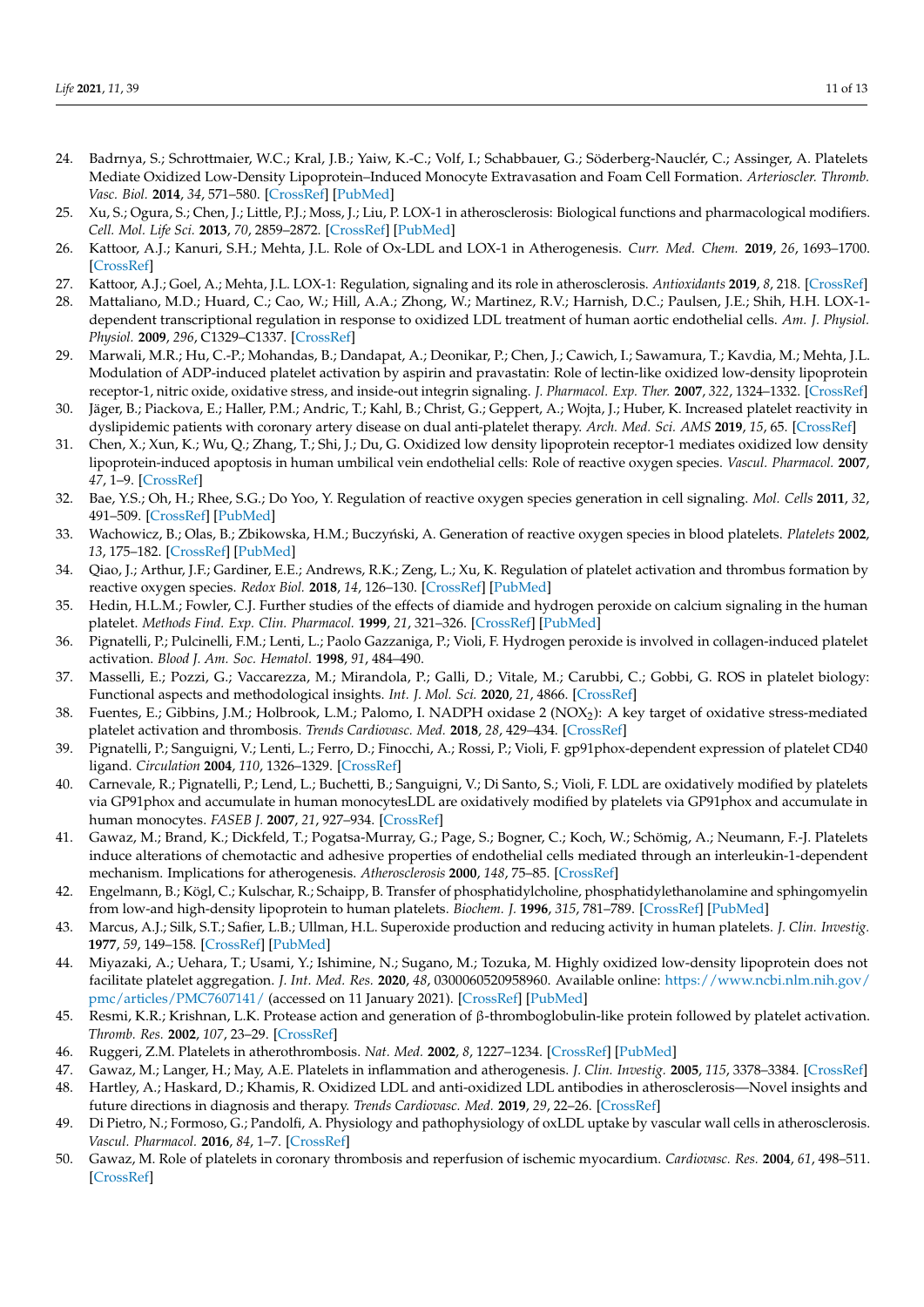- <span id="page-10-0"></span>24. Badrnya, S.; Schrottmaier, W.C.; Kral, J.B.; Yaiw, K.-C.; Volf, I.; Schabbauer, G.; Söderberg-Nauclér, C.; Assinger, A. Platelets Mediate Oxidized Low-Density Lipoprotein–Induced Monocyte Extravasation and Foam Cell Formation. *Arterioscler. Thromb. Vasc. Biol.* **2014**, *34*, 571–580. [\[CrossRef\]](http://doi.org/10.1161/ATVBAHA.113.302919) [\[PubMed\]](http://www.ncbi.nlm.nih.gov/pubmed/24371083)
- <span id="page-10-1"></span>25. Xu, S.; Ogura, S.; Chen, J.; Little, P.J.; Moss, J.; Liu, P. LOX-1 in atherosclerosis: Biological functions and pharmacological modifiers. *Cell. Mol. Life Sci.* **2013**, *70*, 2859–2872. [\[CrossRef\]](http://doi.org/10.1007/s00018-012-1194-z) [\[PubMed\]](http://www.ncbi.nlm.nih.gov/pubmed/23124189)
- <span id="page-10-2"></span>26. Kattoor, A.J.; Kanuri, S.H.; Mehta, J.L. Role of Ox-LDL and LOX-1 in Atherogenesis. *Curr. Med. Chem.* **2019**, *26*, 1693–1700. [\[CrossRef\]](http://doi.org/10.2174/0929867325666180508100950)
- <span id="page-10-3"></span>27. Kattoor, A.J.; Goel, A.; Mehta, J.L. LOX-1: Regulation, signaling and its role in atherosclerosis. *Antioxidants* **2019**, *8*, 218. [\[CrossRef\]](http://doi.org/10.3390/antiox8070218)
- <span id="page-10-4"></span>28. Mattaliano, M.D.; Huard, C.; Cao, W.; Hill, A.A.; Zhong, W.; Martinez, R.V.; Harnish, D.C.; Paulsen, J.E.; Shih, H.H. LOX-1 dependent transcriptional regulation in response to oxidized LDL treatment of human aortic endothelial cells. *Am. J. Physiol. Physiol.* **2009**, *296*, C1329–C1337. [\[CrossRef\]](http://doi.org/10.1152/ajpcell.00513.2008)
- <span id="page-10-5"></span>29. Marwali, M.R.; Hu, C.-P.; Mohandas, B.; Dandapat, A.; Deonikar, P.; Chen, J.; Cawich, I.; Sawamura, T.; Kavdia, M.; Mehta, J.L. Modulation of ADP-induced platelet activation by aspirin and pravastatin: Role of lectin-like oxidized low-density lipoprotein receptor-1, nitric oxide, oxidative stress, and inside-out integrin signaling. *J. Pharmacol. Exp. Ther.* **2007**, *322*, 1324–1332. [\[CrossRef\]](http://doi.org/10.1124/jpet.107.122853)
- <span id="page-10-6"></span>30. Jäger, B.; Piackova, E.; Haller, P.M.; Andric, T.; Kahl, B.; Christ, G.; Geppert, A.; Wojta, J.; Huber, K. Increased platelet reactivity in dyslipidemic patients with coronary artery disease on dual anti-platelet therapy. *Arch. Med. Sci. AMS* **2019**, *15*, 65. [\[CrossRef\]](http://doi.org/10.5114/aoms.2018.81035)
- <span id="page-10-7"></span>31. Chen, X.; Xun, K.; Wu, Q.; Zhang, T.; Shi, J.; Du, G. Oxidized low density lipoprotein receptor-1 mediates oxidized low density lipoprotein-induced apoptosis in human umbilical vein endothelial cells: Role of reactive oxygen species. *Vascul. Pharmacol.* **2007**, *47*, 1–9. [\[CrossRef\]](http://doi.org/10.1016/j.vph.2007.01.004)
- <span id="page-10-8"></span>32. Bae, Y.S.; Oh, H.; Rhee, S.G.; Do Yoo, Y. Regulation of reactive oxygen species generation in cell signaling. *Mol. Cells* **2011**, *32*, 491–509. [\[CrossRef\]](http://doi.org/10.1007/s10059-011-0276-3) [\[PubMed\]](http://www.ncbi.nlm.nih.gov/pubmed/22207195)
- <span id="page-10-9"></span>33. Wachowicz, B.; Olas, B.; Zbikowska, H.M.; Buczyński, A. Generation of reactive oxygen species in blood platelets. Platelets 2002, *13*, 175–182. [\[CrossRef\]](http://doi.org/10.1080/09533710022149395) [\[PubMed\]](http://www.ncbi.nlm.nih.gov/pubmed/12180500)
- <span id="page-10-10"></span>34. Qiao, J.; Arthur, J.F.; Gardiner, E.E.; Andrews, R.K.; Zeng, L.; Xu, K. Regulation of platelet activation and thrombus formation by reactive oxygen species. *Redox Biol.* **2018**, *14*, 126–130. [\[CrossRef\]](http://doi.org/10.1016/j.redox.2017.08.021) [\[PubMed\]](http://www.ncbi.nlm.nih.gov/pubmed/28888895)
- <span id="page-10-11"></span>35. Hedin, H.L.M.; Fowler, C.J. Further studies of the effects of diamide and hydrogen peroxide on calcium signaling in the human platelet. *Methods Find. Exp. Clin. Pharmacol.* **1999**, *21*, 321–326. [\[CrossRef\]](http://doi.org/10.1358/mf.1999.21.5.541908) [\[PubMed\]](http://www.ncbi.nlm.nih.gov/pubmed/10420386)
- <span id="page-10-12"></span>36. Pignatelli, P.; Pulcinelli, F.M.; Lenti, L.; Paolo Gazzaniga, P.; Violi, F. Hydrogen peroxide is involved in collagen-induced platelet activation. *Blood J. Am. Soc. Hematol.* **1998**, *91*, 484–490.
- <span id="page-10-13"></span>37. Masselli, E.; Pozzi, G.; Vaccarezza, M.; Mirandola, P.; Galli, D.; Vitale, M.; Carubbi, C.; Gobbi, G. ROS in platelet biology: Functional aspects and methodological insights. *Int. J. Mol. Sci.* **2020**, *21*, 4866. [\[CrossRef\]](http://doi.org/10.3390/ijms21144866)
- <span id="page-10-14"></span>38. Fuentes, E.; Gibbins, J.M.; Holbrook, L.M.; Palomo, I. NADPH oxidase 2 (NOX<sub>2</sub>): A key target of oxidative stress-mediated platelet activation and thrombosis. *Trends Cardiovasc. Med.* **2018**, *28*, 429–434. [\[CrossRef\]](http://doi.org/10.1016/j.tcm.2018.03.001)
- <span id="page-10-15"></span>39. Pignatelli, P.; Sanguigni, V.; Lenti, L.; Ferro, D.; Finocchi, A.; Rossi, P.; Violi, F. gp91phox-dependent expression of platelet CD40 ligand. *Circulation* **2004**, *110*, 1326–1329. [\[CrossRef\]](http://doi.org/10.1161/01.CIR.0000134963.77201.55)
- <span id="page-10-16"></span>40. Carnevale, R.; Pignatelli, P.; Lend, L.; Buchetti, B.; Sanguigni, V.; Di Santo, S.; Violi, F. LDL are oxidatively modified by platelets via GP91phox and accumulate in human monocytesLDL are oxidatively modified by platelets via GP91phox and accumulate in human monocytes. *FASEB J.* **2007**, *21*, 927–934. [\[CrossRef\]](http://doi.org/10.1096/fj.06-6908com)
- <span id="page-10-17"></span>41. Gawaz, M.; Brand, K.; Dickfeld, T.; Pogatsa-Murray, G.; Page, S.; Bogner, C.; Koch, W.; Schömig, A.; Neumann, F.-J. Platelets induce alterations of chemotactic and adhesive properties of endothelial cells mediated through an interleukin-1-dependent mechanism. Implications for atherogenesis. *Atherosclerosis* **2000**, *148*, 75–85. [\[CrossRef\]](http://doi.org/10.1016/S0021-9150(99)00241-5)
- <span id="page-10-18"></span>42. Engelmann, B.; Kögl, C.; Kulschar, R.; Schaipp, B. Transfer of phosphatidylcholine, phosphatidylethanolamine and sphingomyelin from low-and high-density lipoprotein to human platelets. *Biochem. J.* **1996**, *315*, 781–789. [\[CrossRef\]](http://doi.org/10.1042/bj3150781) [\[PubMed\]](http://www.ncbi.nlm.nih.gov/pubmed/8645158)
- <span id="page-10-19"></span>43. Marcus, A.J.; Silk, S.T.; Safier, L.B.; Ullman, H.L. Superoxide production and reducing activity in human platelets. *J. Clin. Investig.* **1977**, *59*, 149–158. [\[CrossRef\]](http://doi.org/10.1172/JCI108613) [\[PubMed\]](http://www.ncbi.nlm.nih.gov/pubmed/187622)
- <span id="page-10-20"></span>44. Miyazaki, A.; Uehara, T.; Usami, Y.; Ishimine, N.; Sugano, M.; Tozuka, M. Highly oxidized low-density lipoprotein does not facilitate platelet aggregation. *J. Int. Med. Res.* **2020**, *48*, 0300060520958960. Available online: [https://www.ncbi.nlm.nih.gov/](https://www.ncbi.nlm.nih.gov/pmc/articles/PMC7607141/) [pmc/articles/PMC7607141/](https://www.ncbi.nlm.nih.gov/pmc/articles/PMC7607141/) (accessed on 11 January 2021). [\[CrossRef\]](http://doi.org/10.1177/0300060520958960) [\[PubMed\]](http://www.ncbi.nlm.nih.gov/pubmed/33100088)
- <span id="page-10-21"></span>45. Resmi, K.R.; Krishnan, L.K. Protease action and generation of β-thromboglobulin-like protein followed by platelet activation. *Thromb. Res.* **2002**, *107*, 23–29. [\[CrossRef\]](http://doi.org/10.1016/S0049-3848(02)00154-8)
- <span id="page-10-22"></span>46. Ruggeri, Z.M. Platelets in atherothrombosis. *Nat. Med.* **2002**, *8*, 1227–1234. [\[CrossRef\]](http://doi.org/10.1038/nm1102-1227) [\[PubMed\]](http://www.ncbi.nlm.nih.gov/pubmed/12411949)
- <span id="page-10-23"></span>47. Gawaz, M.; Langer, H.; May, A.E. Platelets in inflammation and atherogenesis. *J. Clin. Investig.* **2005**, *115*, 3378–3384. [\[CrossRef\]](http://doi.org/10.1172/JCI27196)
- <span id="page-10-24"></span>Hartley, A.; Haskard, D.; Khamis, R. Oxidized LDL and anti-oxidized LDL antibodies in atherosclerosis—Novel insights and future directions in diagnosis and therapy. *Trends Cardiovasc. Med.* **2019**, *29*, 22–26. [\[CrossRef\]](http://doi.org/10.1016/j.tcm.2018.05.010)
- <span id="page-10-25"></span>49. Di Pietro, N.; Formoso, G.; Pandolfi, A. Physiology and pathophysiology of oxLDL uptake by vascular wall cells in atherosclerosis. *Vascul. Pharmacol.* **2016**, *84*, 1–7. [\[CrossRef\]](http://doi.org/10.1016/j.vph.2016.05.013)
- <span id="page-10-26"></span>50. Gawaz, M. Role of platelets in coronary thrombosis and reperfusion of ischemic myocardium. *Cardiovasc. Res.* **2004**, *61*, 498–511. [\[CrossRef\]](http://doi.org/10.1016/j.cardiores.2003.11.036)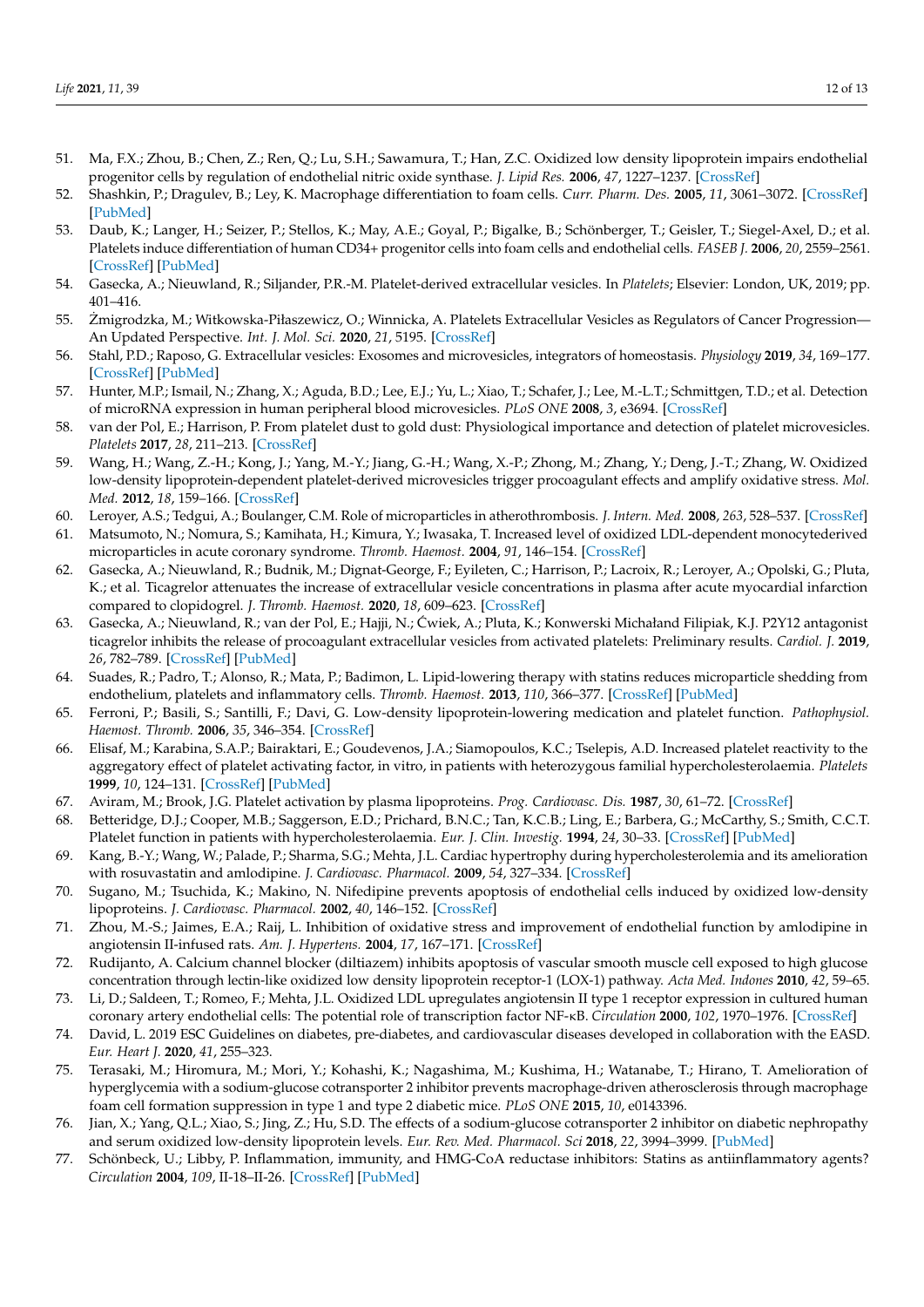- <span id="page-11-0"></span>51. Ma, F.X.; Zhou, B.; Chen, Z.; Ren, Q.; Lu, S.H.; Sawamura, T.; Han, Z.C. Oxidized low density lipoprotein impairs endothelial progenitor cells by regulation of endothelial nitric oxide synthase. *J. Lipid Res.* **2006**, *47*, 1227–1237. [\[CrossRef\]](http://doi.org/10.1194/jlr.M500507-JLR200)
- <span id="page-11-1"></span>52. Shashkin, P.; Dragulev, B.; Ley, K. Macrophage differentiation to foam cells. *Curr. Pharm. Des.* **2005**, *11*, 3061–3072. [\[CrossRef\]](http://doi.org/10.2174/1381612054865064) [\[PubMed\]](http://www.ncbi.nlm.nih.gov/pubmed/16178764)
- <span id="page-11-2"></span>53. Daub, K.; Langer, H.; Seizer, P.; Stellos, K.; May, A.E.; Goyal, P.; Bigalke, B.; Schönberger, T.; Geisler, T.; Siegel-Axel, D.; et al. Platelets induce differentiation of human CD34+ progenitor cells into foam cells and endothelial cells. *FASEB J.* **2006**, *20*, 2559–2561. [\[CrossRef\]](http://doi.org/10.1096/fj.06-6265fje) [\[PubMed\]](http://www.ncbi.nlm.nih.gov/pubmed/17077283)
- <span id="page-11-3"></span>54. Gasecka, A.; Nieuwland, R.; Siljander, P.R.-M. Platelet-derived extracellular vesicles. In *Platelets*; Elsevier: London, UK, 2019; pp. 401–416.
- <span id="page-11-4"></span>55. Zmigrodzka, M.; Witkowska-Piłaszewicz, O.; Winnicka, A. Platelets Extracellular Vesicles as Regulators of Cancer Progression— ˙ An Updated Perspective. *Int. J. Mol. Sci.* **2020**, *21*, 5195. [\[CrossRef\]](http://doi.org/10.3390/ijms21155195)
- <span id="page-11-5"></span>56. Stahl, P.D.; Raposo, G. Extracellular vesicles: Exosomes and microvesicles, integrators of homeostasis. *Physiology* **2019**, *34*, 169–177. [\[CrossRef\]](http://doi.org/10.1152/physiol.00045.2018) [\[PubMed\]](http://www.ncbi.nlm.nih.gov/pubmed/30968753)
- <span id="page-11-6"></span>57. Hunter, M.P.; Ismail, N.; Zhang, X.; Aguda, B.D.; Lee, E.J.; Yu, L.; Xiao, T.; Schafer, J.; Lee, M.-L.T.; Schmittgen, T.D.; et al. Detection of microRNA expression in human peripheral blood microvesicles. *PLoS ONE* **2008**, *3*, e3694. [\[CrossRef\]](http://doi.org/10.1371/journal.pone.0003694)
- <span id="page-11-7"></span>58. van der Pol, E.; Harrison, P. From platelet dust to gold dust: Physiological importance and detection of platelet microvesicles. *Platelets* **2017**, *28*, 211–213. [\[CrossRef\]](http://doi.org/10.1080/09537104.2017.1282781)
- <span id="page-11-8"></span>59. Wang, H.; Wang, Z.-H.; Kong, J.; Yang, M.-Y.; Jiang, G.-H.; Wang, X.-P.; Zhong, M.; Zhang, Y.; Deng, J.-T.; Zhang, W. Oxidized low-density lipoprotein-dependent platelet-derived microvesicles trigger procoagulant effects and amplify oxidative stress. *Mol. Med.* **2012**, *18*, 159–166. [\[CrossRef\]](http://doi.org/10.2119/molmed.2011.00295)
- <span id="page-11-9"></span>60. Leroyer, A.S.; Tedgui, A.; Boulanger, C.M. Role of microparticles in atherothrombosis. *J. Intern. Med.* **2008**, *263*, 528–537. [\[CrossRef\]](http://doi.org/10.1111/j.1365-2796.2008.01957.x)
- <span id="page-11-10"></span>61. Matsumoto, N.; Nomura, S.; Kamihata, H.; Kimura, Y.; Iwasaka, T. Increased level of oxidized LDL-dependent monocytederived microparticles in acute coronary syndrome. *Thromb. Haemost.* **2004**, *91*, 146–154. [\[CrossRef\]](http://doi.org/10.1160/TH03-04-0247)
- <span id="page-11-11"></span>62. Gasecka, A.; Nieuwland, R.; Budnik, M.; Dignat-George, F.; Eyileten, C.; Harrison, P.; Lacroix, R.; Leroyer, A.; Opolski, G.; Pluta, K.; et al. Ticagrelor attenuates the increase of extracellular vesicle concentrations in plasma after acute myocardial infarction compared to clopidogrel. *J. Thromb. Haemost.* **2020**, *18*, 609–623. [\[CrossRef\]](http://doi.org/10.1111/jth.14689)
- <span id="page-11-12"></span>63. Gasecka, A.; Nieuwland, R.; van der Pol, E.; Hajji, N.; Cwiek, A.; Pluta, K.; Konwerski Michałand Filipiak, K.J. P2Y12 antagonist ´ ticagrelor inhibits the release of procoagulant extracellular vesicles from activated platelets: Preliminary results. *Cardiol. J.* **2019**, *26*, 782–789. [\[CrossRef\]](http://doi.org/10.5603/CJ.a2018.0045) [\[PubMed\]](http://www.ncbi.nlm.nih.gov/pubmed/29671861)
- <span id="page-11-13"></span>64. Suades, R.; Padro, T.; Alonso, R.; Mata, P.; Badimon, L. Lipid-lowering therapy with statins reduces microparticle shedding from endothelium, platelets and inflammatory cells. *Thromb. Haemost.* **2013**, *110*, 366–377. [\[CrossRef\]](http://doi.org/10.1160/TH13-03-0238) [\[PubMed\]](http://www.ncbi.nlm.nih.gov/pubmed/23740299)
- <span id="page-11-14"></span>65. Ferroni, P.; Basili, S.; Santilli, F.; Davi, G. Low-density lipoprotein-lowering medication and platelet function. *Pathophysiol. Haemost. Thromb.* **2006**, *35*, 346–354. [\[CrossRef\]](http://doi.org/10.1159/000093226)
- <span id="page-11-15"></span>66. Elisaf, M.; Karabina, S.A.P.; Bairaktari, E.; Goudevenos, J.A.; Siamopoulos, K.C.; Tselepis, A.D. Increased platelet reactivity to the aggregatory effect of platelet activating factor, in vitro, in patients with heterozygous familial hypercholesterolaemia. *Platelets* **1999**, *10*, 124–131. [\[CrossRef\]](http://doi.org/10.1080/09537109909169174) [\[PubMed\]](http://www.ncbi.nlm.nih.gov/pubmed/16801081)
- <span id="page-11-16"></span>67. Aviram, M.; Brook, J.G. Platelet activation by plasma lipoproteins. *Prog. Cardiovasc. Dis.* **1987**, *30*, 61–72. [\[CrossRef\]](http://doi.org/10.1016/0033-0620(87)90011-9)
- <span id="page-11-17"></span>68. Betteridge, D.J.; Cooper, M.B.; Saggerson, E.D.; Prichard, B.N.C.; Tan, K.C.B.; Ling, E.; Barbera, G.; McCarthy, S.; Smith, C.C.T. Platelet function in patients with hypercholesterolaemia. *Eur. J. Clin. Investig.* **1994**, *24*, 30–33. [\[CrossRef\]](http://doi.org/10.1111/j.1365-2362.1994.tb02423.x) [\[PubMed\]](http://www.ncbi.nlm.nih.gov/pubmed/8013529)
- <span id="page-11-18"></span>69. Kang, B.-Y.; Wang, W.; Palade, P.; Sharma, S.G.; Mehta, J.L. Cardiac hypertrophy during hypercholesterolemia and its amelioration with rosuvastatin and amlodipine. *J. Cardiovasc. Pharmacol.* **2009**, *54*, 327–334. [\[CrossRef\]](http://doi.org/10.1097/FJC.0b013e3181b76713)
- <span id="page-11-19"></span>70. Sugano, M.; Tsuchida, K.; Makino, N. Nifedipine prevents apoptosis of endothelial cells induced by oxidized low-density lipoproteins. *J. Cardiovasc. Pharmacol.* **2002**, *40*, 146–152. [\[CrossRef\]](http://doi.org/10.1097/00005344-200207000-00018)
- 71. Zhou, M.-S.; Jaimes, E.A.; Raij, L. Inhibition of oxidative stress and improvement of endothelial function by amlodipine in angiotensin II-infused rats. *Am. J. Hypertens.* **2004**, *17*, 167–171. [\[CrossRef\]](http://doi.org/10.1016/j.amjhyper.2003.09.007)
- <span id="page-11-20"></span>72. Rudijanto, A. Calcium channel blocker (diltiazem) inhibits apoptosis of vascular smooth muscle cell exposed to high glucose concentration through lectin-like oxidized low density lipoprotein receptor-1 (LOX-1) pathway. *Acta Med. Indones* **2010**, *42*, 59–65.
- <span id="page-11-21"></span>73. Li, D.; Saldeen, T.; Romeo, F.; Mehta, J.L. Oxidized LDL upregulates angiotensin II type 1 receptor expression in cultured human coronary artery endothelial cells: The potential role of transcription factor NF-κB. *Circulation* **2000**, *102*, 1970–1976. [\[CrossRef\]](http://doi.org/10.1161/01.CIR.102.16.1970)
- <span id="page-11-22"></span>74. David, L. 2019 ESC Guidelines on diabetes, pre-diabetes, and cardiovascular diseases developed in collaboration with the EASD. *Eur. Heart J.* **2020**, *41*, 255–323.
- <span id="page-11-23"></span>75. Terasaki, M.; Hiromura, M.; Mori, Y.; Kohashi, K.; Nagashima, M.; Kushima, H.; Watanabe, T.; Hirano, T. Amelioration of hyperglycemia with a sodium-glucose cotransporter 2 inhibitor prevents macrophage-driven atherosclerosis through macrophage foam cell formation suppression in type 1 and type 2 diabetic mice. *PLoS ONE* **2015**, *10*, e0143396.
- <span id="page-11-24"></span>76. Jian, X.; Yang, Q.L.; Xiao, S.; Jing, Z.; Hu, S.D. The effects of a sodium-glucose cotransporter 2 inhibitor on diabetic nephropathy and serum oxidized low-density lipoprotein levels. *Eur. Rev. Med. Pharmacol. Sci* **2018**, *22*, 3994–3999. [\[PubMed\]](http://www.ncbi.nlm.nih.gov/pubmed/29949175)
- <span id="page-11-25"></span>77. Schönbeck, U.; Libby, P. Inflammation, immunity, and HMG-CoA reductase inhibitors: Statins as antiinflammatory agents? *Circulation* **2004**, *109*, II-18–II-26. [\[CrossRef\]](http://doi.org/10.1161/01.CIR.0000129505.34151.23) [\[PubMed\]](http://www.ncbi.nlm.nih.gov/pubmed/15173059)